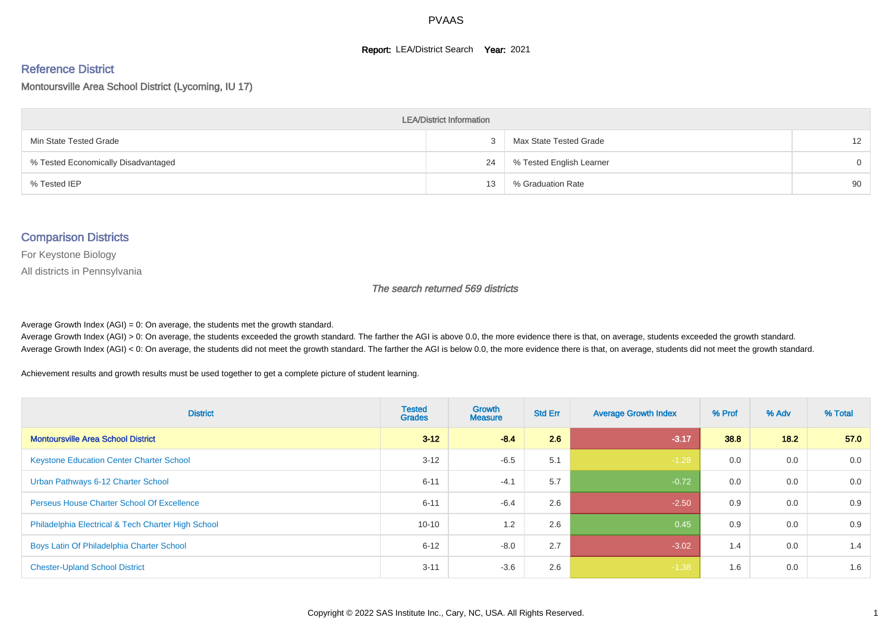#### **Report: LEA/District Search Year: 2021**

#### Reference District

#### Montoursville Area School District (Lycoming, IU 17)

| <b>LEA/District Information</b>     |    |                          |                   |  |  |  |  |  |  |
|-------------------------------------|----|--------------------------|-------------------|--|--|--|--|--|--|
| Min State Tested Grade              | 3  | Max State Tested Grade   | $12 \overline{ }$ |  |  |  |  |  |  |
| % Tested Economically Disadvantaged | 24 | % Tested English Learner | $\Omega$          |  |  |  |  |  |  |
| % Tested IEP                        | 13 | % Graduation Rate        | 90                |  |  |  |  |  |  |

#### Comparison Districts

For Keystone Biology

All districts in Pennsylvania

The search returned 569 districts

Average Growth Index  $(AGI) = 0$ : On average, the students met the growth standard.

Average Growth Index (AGI) > 0: On average, the students exceeded the growth standard. The farther the AGI is above 0.0, the more evidence there is that, on average, students exceeded the growth standard. Average Growth Index (AGI) < 0: On average, the students did not meet the growth standard. The farther the AGI is below 0.0, the more evidence there is that, on average, students did not meet the growth standard.

Achievement results and growth results must be used together to get a complete picture of student learning.

| <b>District</b>                                    | <b>Tested</b><br><b>Grades</b> | <b>Growth</b><br><b>Measure</b> | <b>Std Err</b> | <b>Average Growth Index</b> | % Prof | % Adv | % Total |
|----------------------------------------------------|--------------------------------|---------------------------------|----------------|-----------------------------|--------|-------|---------|
| <b>Montoursville Area School District</b>          | $3 - 12$                       | $-8.4$                          | 2.6            | $-3.17$                     | 38.8   | 18.2  | 57.0    |
| <b>Keystone Education Center Charter School</b>    | $3 - 12$                       | $-6.5$                          | 5.1            | $-1.28$                     | 0.0    | 0.0   | 0.0     |
| Urban Pathways 6-12 Charter School                 | $6 - 11$                       | $-4.1$                          | 5.7            | $-0.72$                     | 0.0    | 0.0   | 0.0     |
| <b>Perseus House Charter School Of Excellence</b>  | $6 - 11$                       | $-6.4$                          | 2.6            | $-2.50$                     | 0.9    | 0.0   | 0.9     |
| Philadelphia Electrical & Tech Charter High School | $10 - 10$                      | 1.2                             | 2.6            | 0.45                        | 0.9    | 0.0   | 0.9     |
| Boys Latin Of Philadelphia Charter School          | $6 - 12$                       | $-8.0$                          | 2.7            | $-3.02$                     | 1.4    | 0.0   | 1.4     |
| <b>Chester-Upland School District</b>              | $3 - 11$                       | $-3.6$                          | 2.6            | $-1.38$                     | 1.6    | 0.0   | 1.6     |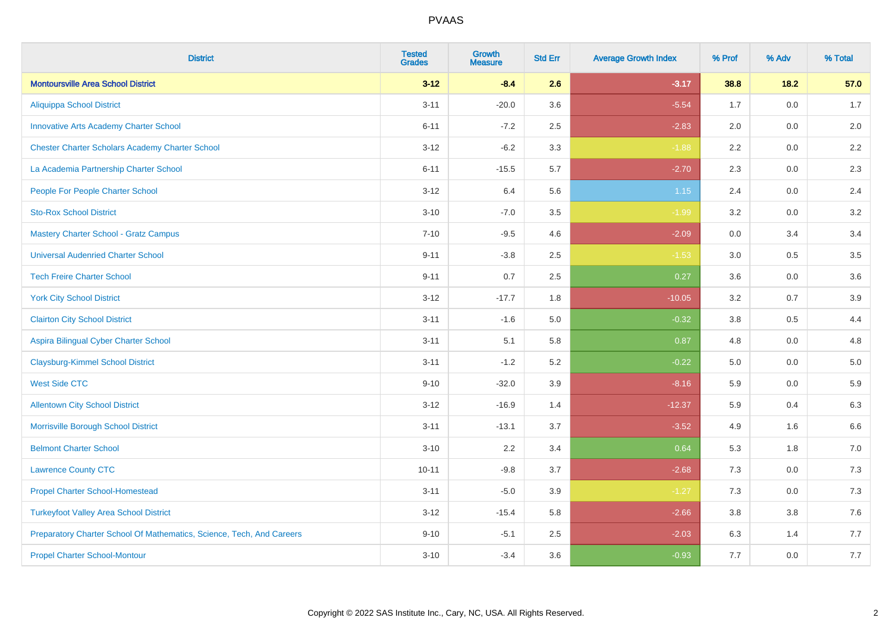| <b>District</b>                                                       | <b>Tested</b><br><b>Grades</b> | <b>Growth</b><br><b>Measure</b> | <b>Std Err</b> | <b>Average Growth Index</b> | % Prof | % Adv   | % Total |
|-----------------------------------------------------------------------|--------------------------------|---------------------------------|----------------|-----------------------------|--------|---------|---------|
| <b>Montoursville Area School District</b>                             | $3 - 12$                       | $-8.4$                          | 2.6            | $-3.17$                     | 38.8   | 18.2    | 57.0    |
| <b>Aliquippa School District</b>                                      | $3 - 11$                       | $-20.0$                         | 3.6            | $-5.54$                     | 1.7    | 0.0     | 1.7     |
| <b>Innovative Arts Academy Charter School</b>                         | $6 - 11$                       | $-7.2$                          | 2.5            | $-2.83$                     | 2.0    | 0.0     | 2.0     |
| <b>Chester Charter Scholars Academy Charter School</b>                | $3 - 12$                       | $-6.2$                          | 3.3            | $-1.88$                     | 2.2    | $0.0\,$ | 2.2     |
| La Academia Partnership Charter School                                | $6 - 11$                       | $-15.5$                         | 5.7            | $-2.70$                     | 2.3    | 0.0     | 2.3     |
| People For People Charter School                                      | $3 - 12$                       | 6.4                             | 5.6            | $1.15$                      | 2.4    | 0.0     | 2.4     |
| <b>Sto-Rox School District</b>                                        | $3 - 10$                       | $-7.0$                          | 3.5            | $-1.99$                     | 3.2    | 0.0     | 3.2     |
| <b>Mastery Charter School - Gratz Campus</b>                          | $7 - 10$                       | $-9.5$                          | 4.6            | $-2.09$                     | 0.0    | 3.4     | 3.4     |
| <b>Universal Audenried Charter School</b>                             | $9 - 11$                       | $-3.8$                          | 2.5            | $-1.53$                     | 3.0    | 0.5     | 3.5     |
| <b>Tech Freire Charter School</b>                                     | $9 - 11$                       | 0.7                             | 2.5            | 0.27                        | 3.6    | 0.0     | 3.6     |
| <b>York City School District</b>                                      | $3 - 12$                       | $-17.7$                         | 1.8            | $-10.05$                    | 3.2    | 0.7     | 3.9     |
| <b>Clairton City School District</b>                                  | $3 - 11$                       | $-1.6$                          | 5.0            | $-0.32$                     | 3.8    | 0.5     | 4.4     |
| Aspira Bilingual Cyber Charter School                                 | $3 - 11$                       | 5.1                             | 5.8            | 0.87                        | 4.8    | $0.0\,$ | 4.8     |
| <b>Claysburg-Kimmel School District</b>                               | $3 - 11$                       | $-1.2$                          | 5.2            | $-0.22$                     | 5.0    | 0.0     | $5.0$   |
| <b>West Side CTC</b>                                                  | $9 - 10$                       | $-32.0$                         | 3.9            | $-8.16$                     | 5.9    | 0.0     | 5.9     |
| <b>Allentown City School District</b>                                 | $3 - 12$                       | $-16.9$                         | 1.4            | $-12.37$                    | 5.9    | 0.4     | 6.3     |
| Morrisville Borough School District                                   | $3 - 11$                       | $-13.1$                         | 3.7            | $-3.52$                     | 4.9    | 1.6     | 6.6     |
| <b>Belmont Charter School</b>                                         | $3 - 10$                       | 2.2                             | 3.4            | 0.64                        | 5.3    | 1.8     | $7.0$   |
| <b>Lawrence County CTC</b>                                            | $10 - 11$                      | $-9.8$                          | 3.7            | $-2.68$                     | 7.3    | 0.0     | $7.3$   |
| <b>Propel Charter School-Homestead</b>                                | $3 - 11$                       | $-5.0$                          | 3.9            | $-1.27$                     | 7.3    | 0.0     | $7.3$   |
| <b>Turkeyfoot Valley Area School District</b>                         | $3 - 12$                       | $-15.4$                         | 5.8            | $-2.66$                     | 3.8    | 3.8     | 7.6     |
| Preparatory Charter School Of Mathematics, Science, Tech, And Careers | $9 - 10$                       | $-5.1$                          | 2.5            | $-2.03$                     | 6.3    | 1.4     | 7.7     |
| <b>Propel Charter School-Montour</b>                                  | $3 - 10$                       | $-3.4$                          | 3.6            | $-0.93$                     | 7.7    | 0.0     | 7.7     |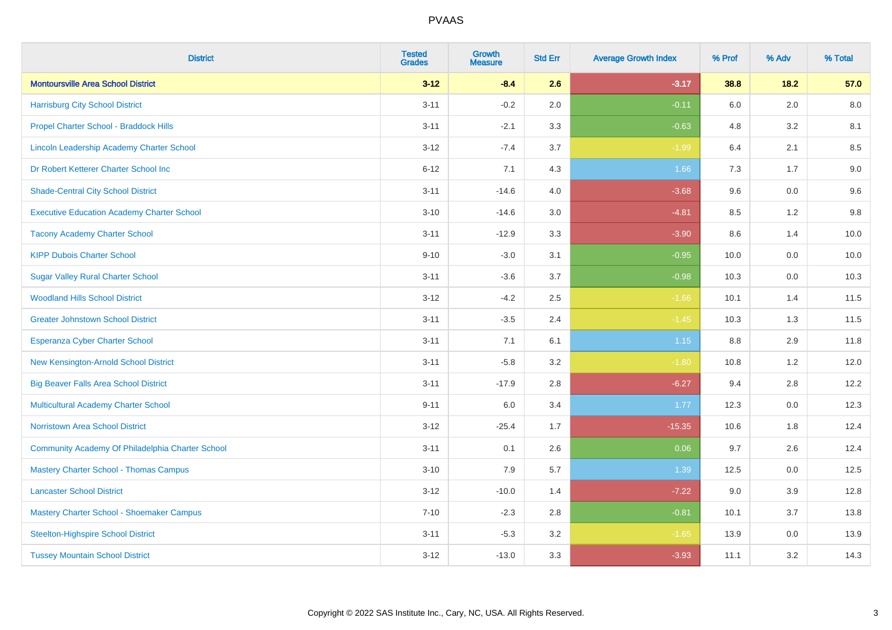| <b>District</b>                                   | <b>Tested</b><br><b>Grades</b> | <b>Growth</b><br><b>Measure</b> | <b>Std Err</b> | <b>Average Growth Index</b> | % Prof | % Adv   | % Total |
|---------------------------------------------------|--------------------------------|---------------------------------|----------------|-----------------------------|--------|---------|---------|
| <b>Montoursville Area School District</b>         | $3 - 12$                       | $-8.4$                          | 2.6            | $-3.17$                     | 38.8   | 18.2    | 57.0    |
| <b>Harrisburg City School District</b>            | $3 - 11$                       | $-0.2$                          | 2.0            | $-0.11$                     | 6.0    | 2.0     | 8.0     |
| Propel Charter School - Braddock Hills            | $3 - 11$                       | $-2.1$                          | 3.3            | $-0.63$                     | 4.8    | 3.2     | 8.1     |
| Lincoln Leadership Academy Charter School         | $3 - 12$                       | $-7.4$                          | 3.7            | $-1.99$                     | 6.4    | 2.1     | 8.5     |
| Dr Robert Ketterer Charter School Inc             | $6 - 12$                       | 7.1                             | 4.3            | 1.66                        | 7.3    | 1.7     | 9.0     |
| <b>Shade-Central City School District</b>         | $3 - 11$                       | $-14.6$                         | 4.0            | $-3.68$                     | 9.6    | 0.0     | 9.6     |
| <b>Executive Education Academy Charter School</b> | $3 - 10$                       | $-14.6$                         | 3.0            | $-4.81$                     | 8.5    | 1.2     | 9.8     |
| <b>Tacony Academy Charter School</b>              | $3 - 11$                       | $-12.9$                         | 3.3            | $-3.90$                     | 8.6    | 1.4     | 10.0    |
| <b>KIPP Dubois Charter School</b>                 | $9 - 10$                       | $-3.0$                          | 3.1            | $-0.95$                     | 10.0   | 0.0     | 10.0    |
| <b>Sugar Valley Rural Charter School</b>          | $3 - 11$                       | $-3.6$                          | 3.7            | $-0.98$                     | 10.3   | 0.0     | 10.3    |
| <b>Woodland Hills School District</b>             | $3 - 12$                       | $-4.2$                          | 2.5            | $-1.66$                     | 10.1   | 1.4     | 11.5    |
| <b>Greater Johnstown School District</b>          | $3 - 11$                       | $-3.5$                          | 2.4            | $-1.45$                     | 10.3   | 1.3     | 11.5    |
| Esperanza Cyber Charter School                    | $3 - 11$                       | 7.1                             | 6.1            | 1.15                        | 8.8    | 2.9     | 11.8    |
| New Kensington-Arnold School District             | $3 - 11$                       | $-5.8$                          | 3.2            | $-1.80$                     | 10.8   | 1.2     | 12.0    |
| <b>Big Beaver Falls Area School District</b>      | $3 - 11$                       | $-17.9$                         | 2.8            | $-6.27$                     | 9.4    | 2.8     | 12.2    |
| <b>Multicultural Academy Charter School</b>       | $9 - 11$                       | 6.0                             | 3.4            | 1.77                        | 12.3   | 0.0     | 12.3    |
| <b>Norristown Area School District</b>            | $3 - 12$                       | $-25.4$                         | 1.7            | $-15.35$                    | 10.6   | 1.8     | 12.4    |
| Community Academy Of Philadelphia Charter School  | $3 - 11$                       | 0.1                             | 2.6            | 0.06                        | 9.7    | 2.6     | 12.4    |
| <b>Mastery Charter School - Thomas Campus</b>     | $3 - 10$                       | 7.9                             | 5.7            | 1.39                        | 12.5   | 0.0     | 12.5    |
| <b>Lancaster School District</b>                  | $3 - 12$                       | $-10.0$                         | 1.4            | $-7.22$                     | 9.0    | 3.9     | 12.8    |
| Mastery Charter School - Shoemaker Campus         | $7 - 10$                       | $-2.3$                          | 2.8            | $-0.81$                     | 10.1   | 3.7     | 13.8    |
| <b>Steelton-Highspire School District</b>         | $3 - 11$                       | $-5.3$                          | 3.2            | $-1.65$                     | 13.9   | $0.0\,$ | 13.9    |
| <b>Tussey Mountain School District</b>            | $3 - 12$                       | $-13.0$                         | 3.3            | $-3.93$                     | 11.1   | 3.2     | 14.3    |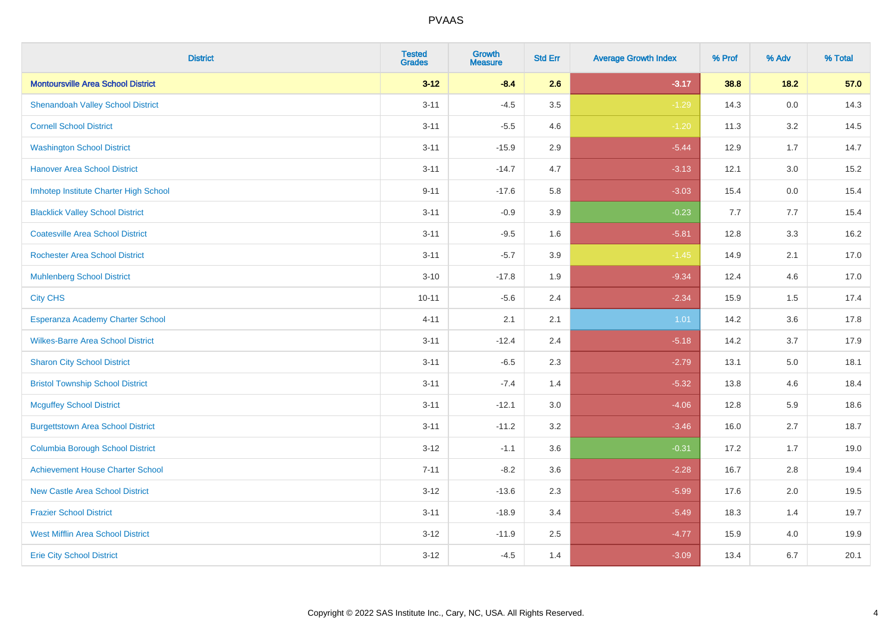| <b>District</b>                           | <b>Tested</b><br><b>Grades</b> | <b>Growth</b><br><b>Measure</b> | <b>Std Err</b> | <b>Average Growth Index</b> | % Prof | % Adv   | % Total |
|-------------------------------------------|--------------------------------|---------------------------------|----------------|-----------------------------|--------|---------|---------|
| <b>Montoursville Area School District</b> | $3 - 12$                       | $-8.4$                          | 2.6            | $-3.17$                     | 38.8   | 18.2    | 57.0    |
| <b>Shenandoah Valley School District</b>  | $3 - 11$                       | $-4.5$                          | 3.5            | $-1.29$                     | 14.3   | $0.0\,$ | 14.3    |
| <b>Cornell School District</b>            | $3 - 11$                       | $-5.5$                          | 4.6            | $-1.20$                     | 11.3   | 3.2     | 14.5    |
| <b>Washington School District</b>         | $3 - 11$                       | $-15.9$                         | 2.9            | $-5.44$                     | 12.9   | 1.7     | 14.7    |
| <b>Hanover Area School District</b>       | $3 - 11$                       | $-14.7$                         | 4.7            | $-3.13$                     | 12.1   | 3.0     | 15.2    |
| Imhotep Institute Charter High School     | $9 - 11$                       | $-17.6$                         | 5.8            | $-3.03$                     | 15.4   | 0.0     | 15.4    |
| <b>Blacklick Valley School District</b>   | $3 - 11$                       | $-0.9$                          | 3.9            | $-0.23$                     | 7.7    | 7.7     | 15.4    |
| <b>Coatesville Area School District</b>   | $3 - 11$                       | $-9.5$                          | 1.6            | $-5.81$                     | 12.8   | 3.3     | 16.2    |
| <b>Rochester Area School District</b>     | $3 - 11$                       | $-5.7$                          | 3.9            | $-1.45$                     | 14.9   | 2.1     | 17.0    |
| <b>Muhlenberg School District</b>         | $3 - 10$                       | $-17.8$                         | 1.9            | $-9.34$                     | 12.4   | 4.6     | 17.0    |
| <b>City CHS</b>                           | $10 - 11$                      | $-5.6$                          | 2.4            | $-2.34$                     | 15.9   | 1.5     | 17.4    |
| Esperanza Academy Charter School          | $4 - 11$                       | 2.1                             | 2.1            | 1.01                        | 14.2   | 3.6     | 17.8    |
| <b>Wilkes-Barre Area School District</b>  | $3 - 11$                       | $-12.4$                         | 2.4            | $-5.18$                     | 14.2   | 3.7     | 17.9    |
| <b>Sharon City School District</b>        | $3 - 11$                       | $-6.5$                          | 2.3            | $-2.79$                     | 13.1   | 5.0     | 18.1    |
| <b>Bristol Township School District</b>   | $3 - 11$                       | $-7.4$                          | 1.4            | $-5.32$                     | 13.8   | 4.6     | 18.4    |
| <b>Mcguffey School District</b>           | $3 - 11$                       | $-12.1$                         | 3.0            | $-4.06$                     | 12.8   | 5.9     | 18.6    |
| <b>Burgettstown Area School District</b>  | $3 - 11$                       | $-11.2$                         | 3.2            | $-3.46$                     | 16.0   | 2.7     | 18.7    |
| <b>Columbia Borough School District</b>   | $3 - 12$                       | $-1.1$                          | 3.6            | $-0.31$                     | 17.2   | 1.7     | 19.0    |
| <b>Achievement House Charter School</b>   | $7 - 11$                       | $-8.2$                          | 3.6            | $-2.28$                     | 16.7   | 2.8     | 19.4    |
| <b>New Castle Area School District</b>    | $3 - 12$                       | $-13.6$                         | 2.3            | $-5.99$                     | 17.6   | 2.0     | 19.5    |
| <b>Frazier School District</b>            | $3 - 11$                       | $-18.9$                         | 3.4            | $-5.49$                     | 18.3   | 1.4     | 19.7    |
| <b>West Mifflin Area School District</b>  | $3 - 12$                       | $-11.9$                         | 2.5            | $-4.77$                     | 15.9   | 4.0     | 19.9    |
| <b>Erie City School District</b>          | $3 - 12$                       | $-4.5$                          | 1.4            | $-3.09$                     | 13.4   | 6.7     | 20.1    |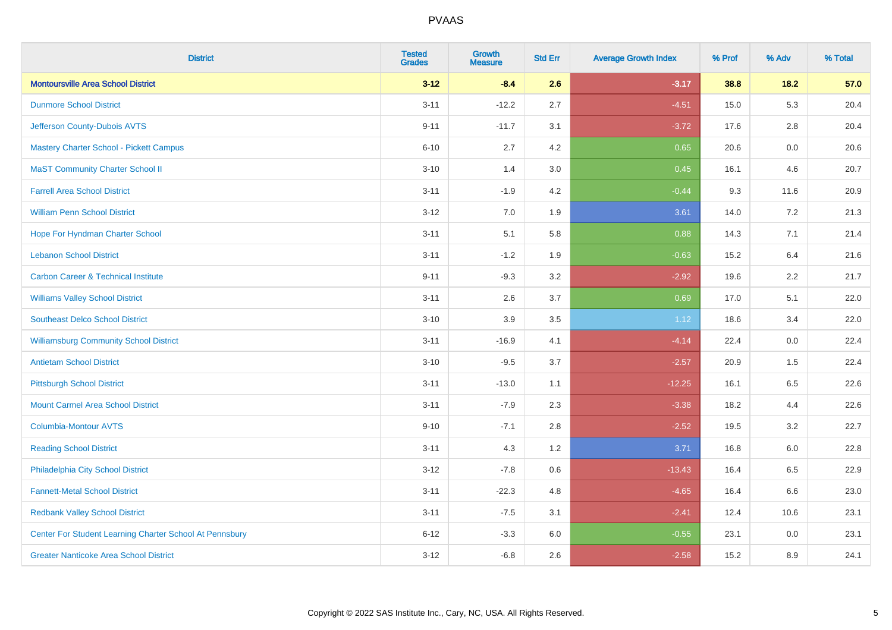| <b>District</b>                                         | <b>Tested</b><br><b>Grades</b> | Growth<br><b>Measure</b> | <b>Std Err</b> | <b>Average Growth Index</b> | % Prof | % Adv   | % Total |
|---------------------------------------------------------|--------------------------------|--------------------------|----------------|-----------------------------|--------|---------|---------|
| <b>Montoursville Area School District</b>               | $3 - 12$                       | $-8.4$                   | 2.6            | $-3.17$                     | 38.8   | $18.2$  | 57.0    |
| <b>Dunmore School District</b>                          | $3 - 11$                       | $-12.2$                  | 2.7            | $-4.51$                     | 15.0   | 5.3     | 20.4    |
| Jefferson County-Dubois AVTS                            | $9 - 11$                       | $-11.7$                  | 3.1            | $-3.72$                     | 17.6   | 2.8     | 20.4    |
| <b>Mastery Charter School - Pickett Campus</b>          | $6 - 10$                       | 2.7                      | 4.2            | 0.65                        | 20.6   | 0.0     | 20.6    |
| <b>MaST Community Charter School II</b>                 | $3 - 10$                       | 1.4                      | 3.0            | 0.45                        | 16.1   | 4.6     | 20.7    |
| <b>Farrell Area School District</b>                     | $3 - 11$                       | $-1.9$                   | 4.2            | $-0.44$                     | 9.3    | 11.6    | 20.9    |
| <b>William Penn School District</b>                     | $3 - 12$                       | $7.0\,$                  | 1.9            | 3.61                        | 14.0   | 7.2     | 21.3    |
| Hope For Hyndman Charter School                         | $3 - 11$                       | 5.1                      | 5.8            | 0.88                        | 14.3   | 7.1     | 21.4    |
| <b>Lebanon School District</b>                          | $3 - 11$                       | $-1.2$                   | 1.9            | $-0.63$                     | 15.2   | 6.4     | 21.6    |
| <b>Carbon Career &amp; Technical Institute</b>          | $9 - 11$                       | $-9.3$                   | 3.2            | $-2.92$                     | 19.6   | $2.2\,$ | 21.7    |
| <b>Williams Valley School District</b>                  | $3 - 11$                       | 2.6                      | 3.7            | 0.69                        | 17.0   | 5.1     | 22.0    |
| <b>Southeast Delco School District</b>                  | $3 - 10$                       | 3.9                      | 3.5            | 1.12                        | 18.6   | 3.4     | 22.0    |
| <b>Williamsburg Community School District</b>           | $3 - 11$                       | $-16.9$                  | 4.1            | $-4.14$                     | 22.4   | 0.0     | 22.4    |
| <b>Antietam School District</b>                         | $3 - 10$                       | $-9.5$                   | 3.7            | $-2.57$                     | 20.9   | 1.5     | 22.4    |
| <b>Pittsburgh School District</b>                       | $3 - 11$                       | $-13.0$                  | 1.1            | $-12.25$                    | 16.1   | 6.5     | 22.6    |
| <b>Mount Carmel Area School District</b>                | $3 - 11$                       | $-7.9$                   | 2.3            | $-3.38$                     | 18.2   | 4.4     | 22.6    |
| <b>Columbia-Montour AVTS</b>                            | $9 - 10$                       | $-7.1$                   | 2.8            | $-2.52$                     | 19.5   | 3.2     | 22.7    |
| <b>Reading School District</b>                          | $3 - 11$                       | 4.3                      | 1.2            | 3.71                        | 16.8   | 6.0     | 22.8    |
| Philadelphia City School District                       | $3 - 12$                       | $-7.8$                   | 0.6            | $-13.43$                    | 16.4   | 6.5     | 22.9    |
| <b>Fannett-Metal School District</b>                    | $3 - 11$                       | $-22.3$                  | 4.8            | $-4.65$                     | 16.4   | 6.6     | 23.0    |
| <b>Redbank Valley School District</b>                   | $3 - 11$                       | $-7.5$                   | 3.1            | $-2.41$                     | 12.4   | 10.6    | 23.1    |
| Center For Student Learning Charter School At Pennsbury | $6 - 12$                       | $-3.3$                   | 6.0            | $-0.55$                     | 23.1   | 0.0     | 23.1    |
| <b>Greater Nanticoke Area School District</b>           | $3 - 12$                       | $-6.8$                   | 2.6            | $-2.58$                     | 15.2   | 8.9     | 24.1    |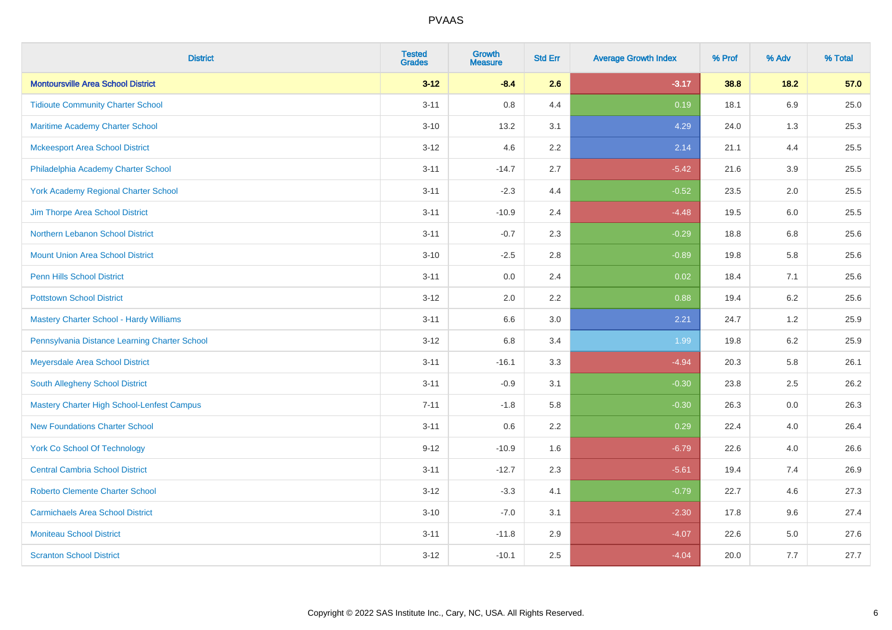| <b>District</b>                                   | <b>Tested</b><br><b>Grades</b> | <b>Growth</b><br><b>Measure</b> | <b>Std Err</b> | <b>Average Growth Index</b> | % Prof | % Adv   | % Total |
|---------------------------------------------------|--------------------------------|---------------------------------|----------------|-----------------------------|--------|---------|---------|
| <b>Montoursville Area School District</b>         | $3 - 12$                       | $-8.4$                          | 2.6            | $-3.17$                     | 38.8   | 18.2    | 57.0    |
| <b>Tidioute Community Charter School</b>          | $3 - 11$                       | 0.8                             | 4.4            | 0.19                        | 18.1   | 6.9     | 25.0    |
| <b>Maritime Academy Charter School</b>            | $3 - 10$                       | 13.2                            | 3.1            | 4.29                        | 24.0   | 1.3     | 25.3    |
| <b>Mckeesport Area School District</b>            | $3 - 12$                       | 4.6                             | 2.2            | 2.14                        | 21.1   | 4.4     | 25.5    |
| Philadelphia Academy Charter School               | $3 - 11$                       | $-14.7$                         | 2.7            | $-5.42$                     | 21.6   | 3.9     | 25.5    |
| <b>York Academy Regional Charter School</b>       | $3 - 11$                       | $-2.3$                          | 4.4            | $-0.52$                     | 23.5   | 2.0     | 25.5    |
| Jim Thorpe Area School District                   | $3 - 11$                       | $-10.9$                         | 2.4            | $-4.48$                     | 19.5   | 6.0     | 25.5    |
| Northern Lebanon School District                  | $3 - 11$                       | $-0.7$                          | 2.3            | $-0.29$                     | 18.8   | 6.8     | 25.6    |
| <b>Mount Union Area School District</b>           | $3 - 10$                       | $-2.5$                          | 2.8            | $-0.89$                     | 19.8   | 5.8     | 25.6    |
| <b>Penn Hills School District</b>                 | $3 - 11$                       | 0.0                             | 2.4            | 0.02                        | 18.4   | 7.1     | 25.6    |
| <b>Pottstown School District</b>                  | $3 - 12$                       | 2.0                             | 2.2            | 0.88                        | 19.4   | 6.2     | 25.6    |
| Mastery Charter School - Hardy Williams           | $3 - 11$                       | 6.6                             | 3.0            | 2.21                        | 24.7   | 1.2     | 25.9    |
| Pennsylvania Distance Learning Charter School     | $3 - 12$                       | $6.8\,$                         | 3.4            | 1.99                        | 19.8   | $6.2\,$ | 25.9    |
| Meyersdale Area School District                   | $3 - 11$                       | $-16.1$                         | 3.3            | $-4.94$                     | 20.3   | 5.8     | 26.1    |
| South Allegheny School District                   | $3 - 11$                       | $-0.9$                          | 3.1            | $-0.30$                     | 23.8   | 2.5     | 26.2    |
| <b>Mastery Charter High School-Lenfest Campus</b> | $7 - 11$                       | $-1.8$                          | 5.8            | $-0.30$                     | 26.3   | $0.0\,$ | 26.3    |
| <b>New Foundations Charter School</b>             | $3 - 11$                       | 0.6                             | 2.2            | 0.29                        | 22.4   | 4.0     | 26.4    |
| <b>York Co School Of Technology</b>               | $9 - 12$                       | $-10.9$                         | 1.6            | $-6.79$                     | 22.6   | 4.0     | 26.6    |
| <b>Central Cambria School District</b>            | $3 - 11$                       | $-12.7$                         | 2.3            | $-5.61$                     | 19.4   | 7.4     | 26.9    |
| <b>Roberto Clemente Charter School</b>            | $3 - 12$                       | $-3.3$                          | 4.1            | $-0.79$                     | 22.7   | 4.6     | 27.3    |
| <b>Carmichaels Area School District</b>           | $3 - 10$                       | $-7.0$                          | 3.1            | $-2.30$                     | 17.8   | 9.6     | 27.4    |
| <b>Moniteau School District</b>                   | $3 - 11$                       | $-11.8$                         | 2.9            | $-4.07$                     | 22.6   | 5.0     | 27.6    |
| <b>Scranton School District</b>                   | $3 - 12$                       | $-10.1$                         | 2.5            | $-4.04$                     | 20.0   | 7.7     | 27.7    |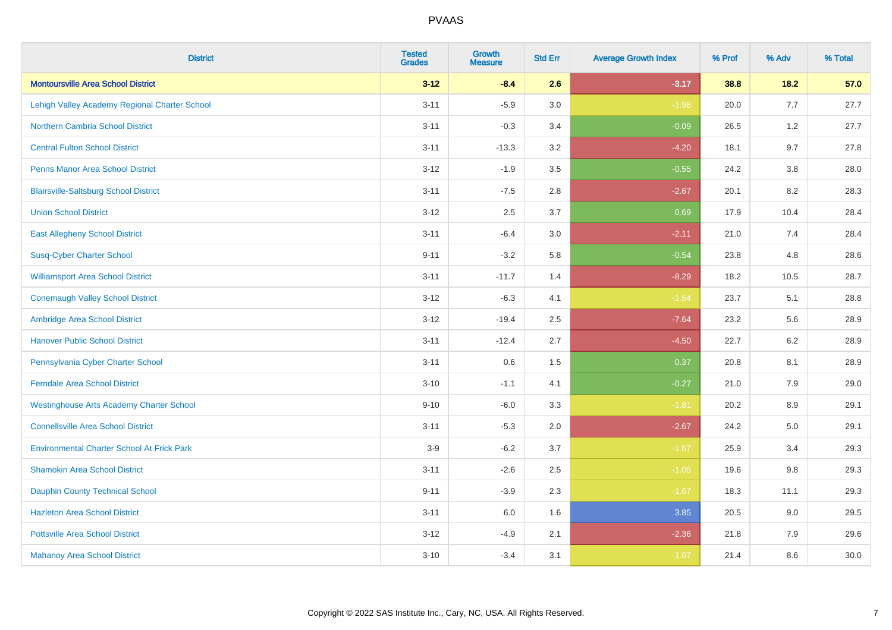| <b>District</b>                                   | <b>Tested</b><br><b>Grades</b> | <b>Growth</b><br><b>Measure</b> | <b>Std Err</b> | <b>Average Growth Index</b> | % Prof | % Adv   | % Total |
|---------------------------------------------------|--------------------------------|---------------------------------|----------------|-----------------------------|--------|---------|---------|
| <b>Montoursville Area School District</b>         | $3 - 12$                       | $-8.4$                          | 2.6            | $-3.17$                     | 38.8   | 18.2    | 57.0    |
| Lehigh Valley Academy Regional Charter School     | $3 - 11$                       | $-5.9$                          | 3.0            | $-1.98$                     | 20.0   | 7.7     | 27.7    |
| <b>Northern Cambria School District</b>           | $3 - 11$                       | $-0.3$                          | 3.4            | $-0.09$                     | 26.5   | 1.2     | 27.7    |
| <b>Central Fulton School District</b>             | $3 - 11$                       | $-13.3$                         | 3.2            | $-4.20$                     | 18.1   | 9.7     | 27.8    |
| <b>Penns Manor Area School District</b>           | $3 - 12$                       | $-1.9$                          | 3.5            | $-0.55$                     | 24.2   | 3.8     | 28.0    |
| <b>Blairsville-Saltsburg School District</b>      | $3 - 11$                       | $-7.5$                          | 2.8            | $-2.67$                     | 20.1   | 8.2     | 28.3    |
| <b>Union School District</b>                      | $3 - 12$                       | 2.5                             | 3.7            | 0.69                        | 17.9   | 10.4    | 28.4    |
| <b>East Allegheny School District</b>             | $3 - 11$                       | $-6.4$                          | 3.0            | $-2.11$                     | 21.0   | 7.4     | 28.4    |
| <b>Susq-Cyber Charter School</b>                  | $9 - 11$                       | $-3.2$                          | 5.8            | $-0.54$                     | 23.8   | 4.8     | 28.6    |
| <b>Williamsport Area School District</b>          | $3 - 11$                       | $-11.7$                         | 1.4            | $-8.29$                     | 18.2   | 10.5    | 28.7    |
| <b>Conemaugh Valley School District</b>           | $3 - 12$                       | $-6.3$                          | 4.1            | $-1.54$                     | 23.7   | 5.1     | 28.8    |
| Ambridge Area School District                     | $3 - 12$                       | $-19.4$                         | 2.5            | $-7.64$                     | 23.2   | 5.6     | 28.9    |
| <b>Hanover Public School District</b>             | $3 - 11$                       | $-12.4$                         | 2.7            | $-4.50$                     | 22.7   | $6.2\,$ | 28.9    |
| Pennsylvania Cyber Charter School                 | $3 - 11$                       | 0.6                             | 1.5            | 0.37                        | 20.8   | 8.1     | 28.9    |
| <b>Ferndale Area School District</b>              | $3 - 10$                       | $-1.1$                          | 4.1            | $-0.27$                     | 21.0   | 7.9     | 29.0    |
| <b>Westinghouse Arts Academy Charter School</b>   | $9 - 10$                       | $-6.0$                          | 3.3            | $-1.81$                     | 20.2   | $8.9\,$ | 29.1    |
| <b>Connellsville Area School District</b>         | $3 - 11$                       | $-5.3$                          | 2.0            | $-2.67$                     | 24.2   | 5.0     | 29.1    |
| <b>Environmental Charter School At Frick Park</b> | $3-9$                          | $-6.2$                          | 3.7            | $-1.67$                     | 25.9   | 3.4     | 29.3    |
| <b>Shamokin Area School District</b>              | $3 - 11$                       | $-2.6$                          | 2.5            | $-1.06$                     | 19.6   | 9.8     | 29.3    |
| <b>Dauphin County Technical School</b>            | $9 - 11$                       | $-3.9$                          | 2.3            | $-1.67$                     | 18.3   | 11.1    | 29.3    |
| <b>Hazleton Area School District</b>              | $3 - 11$                       | 6.0                             | 1.6            | 3.85                        | 20.5   | 9.0     | 29.5    |
| <b>Pottsville Area School District</b>            | $3 - 12$                       | $-4.9$                          | 2.1            | $-2.36$                     | 21.8   | 7.9     | 29.6    |
| <b>Mahanoy Area School District</b>               | $3 - 10$                       | $-3.4$                          | 3.1            | $-1.07$                     | 21.4   | 8.6     | 30.0    |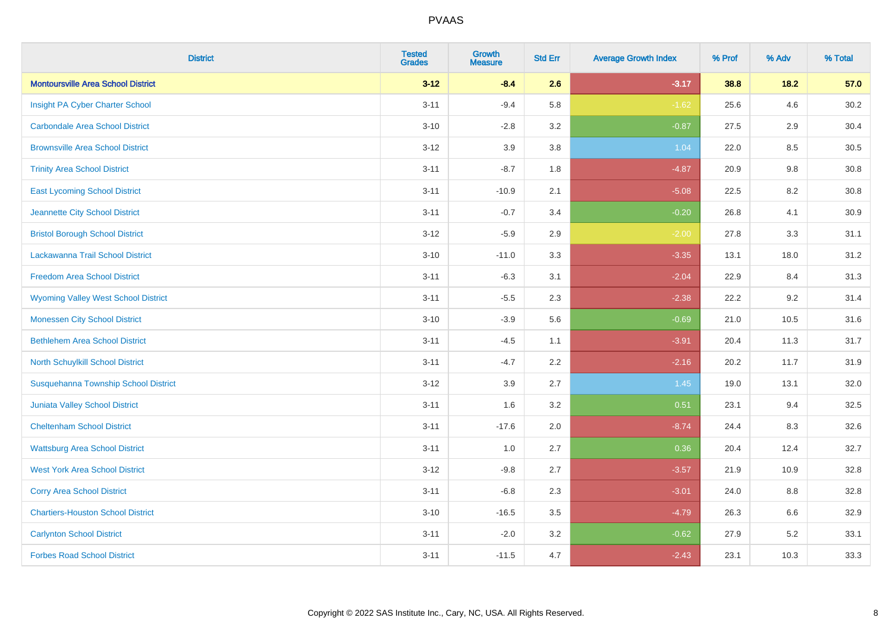| <b>District</b>                            | <b>Tested</b><br><b>Grades</b> | <b>Growth</b><br><b>Measure</b> | <b>Std Err</b> | <b>Average Growth Index</b> | % Prof | % Adv | % Total |
|--------------------------------------------|--------------------------------|---------------------------------|----------------|-----------------------------|--------|-------|---------|
| <b>Montoursville Area School District</b>  | $3 - 12$                       | $-8.4$                          | 2.6            | $-3.17$                     | 38.8   | 18.2  | 57.0    |
| Insight PA Cyber Charter School            | $3 - 11$                       | $-9.4$                          | 5.8            | $-1.62$                     | 25.6   | 4.6   | 30.2    |
| <b>Carbondale Area School District</b>     | $3 - 10$                       | $-2.8$                          | 3.2            | $-0.87$                     | 27.5   | 2.9   | 30.4    |
| <b>Brownsville Area School District</b>    | $3 - 12$                       | 3.9                             | 3.8            | 1.04                        | 22.0   | 8.5   | 30.5    |
| <b>Trinity Area School District</b>        | $3 - 11$                       | $-8.7$                          | 1.8            | $-4.87$                     | 20.9   | 9.8   | 30.8    |
| <b>East Lycoming School District</b>       | $3 - 11$                       | $-10.9$                         | 2.1            | $-5.08$                     | 22.5   | 8.2   | 30.8    |
| Jeannette City School District             | $3 - 11$                       | $-0.7$                          | 3.4            | $-0.20$                     | 26.8   | 4.1   | 30.9    |
| <b>Bristol Borough School District</b>     | $3 - 12$                       | $-5.9$                          | 2.9            | $-2.00$                     | 27.8   | 3.3   | 31.1    |
| Lackawanna Trail School District           | $3 - 10$                       | $-11.0$                         | 3.3            | $-3.35$                     | 13.1   | 18.0  | 31.2    |
| <b>Freedom Area School District</b>        | $3 - 11$                       | $-6.3$                          | 3.1            | $-2.04$                     | 22.9   | 8.4   | 31.3    |
| <b>Wyoming Valley West School District</b> | $3 - 11$                       | $-5.5$                          | 2.3            | $-2.38$                     | 22.2   | 9.2   | 31.4    |
| <b>Monessen City School District</b>       | $3 - 10$                       | $-3.9$                          | 5.6            | $-0.69$                     | 21.0   | 10.5  | 31.6    |
| <b>Bethlehem Area School District</b>      | $3 - 11$                       | $-4.5$                          | 1.1            | $-3.91$                     | 20.4   | 11.3  | 31.7    |
| North Schuylkill School District           | $3 - 11$                       | $-4.7$                          | 2.2            | $-2.16$                     | 20.2   | 11.7  | 31.9    |
| Susquehanna Township School District       | $3 - 12$                       | 3.9                             | 2.7            | 1.45                        | 19.0   | 13.1  | 32.0    |
| Juniata Valley School District             | $3 - 11$                       | 1.6                             | 3.2            | 0.51                        | 23.1   | 9.4   | 32.5    |
| <b>Cheltenham School District</b>          | $3 - 11$                       | $-17.6$                         | 2.0            | $-8.74$                     | 24.4   | 8.3   | 32.6    |
| <b>Wattsburg Area School District</b>      | $3 - 11$                       | 1.0                             | 2.7            | 0.36                        | 20.4   | 12.4  | 32.7    |
| <b>West York Area School District</b>      | $3 - 12$                       | $-9.8$                          | 2.7            | $-3.57$                     | 21.9   | 10.9  | 32.8    |
| <b>Corry Area School District</b>          | $3 - 11$                       | $-6.8$                          | 2.3            | $-3.01$                     | 24.0   | 8.8   | 32.8    |
| <b>Chartiers-Houston School District</b>   | $3 - 10$                       | $-16.5$                         | 3.5            | $-4.79$                     | 26.3   | 6.6   | 32.9    |
| <b>Carlynton School District</b>           | $3 - 11$                       | $-2.0$                          | 3.2            | $-0.62$                     | 27.9   | 5.2   | 33.1    |
| <b>Forbes Road School District</b>         | $3 - 11$                       | $-11.5$                         | 4.7            | $-2.43$                     | 23.1   | 10.3  | 33.3    |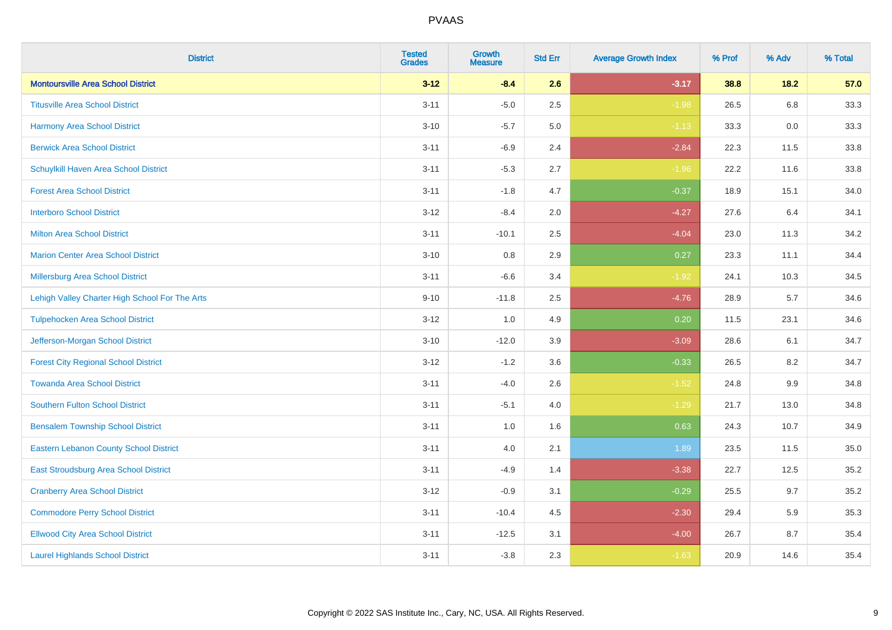| <b>District</b>                                | <b>Tested</b><br><b>Grades</b> | <b>Growth</b><br><b>Measure</b> | <b>Std Err</b> | <b>Average Growth Index</b> | % Prof | % Adv   | % Total |
|------------------------------------------------|--------------------------------|---------------------------------|----------------|-----------------------------|--------|---------|---------|
| <b>Montoursville Area School District</b>      | $3 - 12$                       | $-8.4$                          | 2.6            | $-3.17$                     | 38.8   | 18.2    | 57.0    |
| <b>Titusville Area School District</b>         | $3 - 11$                       | $-5.0$                          | 2.5            | $-1.98$                     | 26.5   | $6.8\,$ | 33.3    |
| <b>Harmony Area School District</b>            | $3 - 10$                       | $-5.7$                          | 5.0            | $-1.13$                     | 33.3   | 0.0     | 33.3    |
| <b>Berwick Area School District</b>            | $3 - 11$                       | $-6.9$                          | 2.4            | $-2.84$                     | 22.3   | 11.5    | 33.8    |
| Schuylkill Haven Area School District          | $3 - 11$                       | $-5.3$                          | 2.7            | $-1.96$                     | 22.2   | 11.6    | 33.8    |
| <b>Forest Area School District</b>             | $3 - 11$                       | $-1.8$                          | 4.7            | $-0.37$                     | 18.9   | 15.1    | 34.0    |
| <b>Interboro School District</b>               | $3 - 12$                       | $-8.4$                          | 2.0            | $-4.27$                     | 27.6   | 6.4     | 34.1    |
| <b>Milton Area School District</b>             | $3 - 11$                       | $-10.1$                         | 2.5            | $-4.04$                     | 23.0   | 11.3    | 34.2    |
| <b>Marion Center Area School District</b>      | $3 - 10$                       | 0.8                             | 2.9            | 0.27                        | 23.3   | 11.1    | 34.4    |
| Millersburg Area School District               | $3 - 11$                       | $-6.6$                          | 3.4            | $-1.92$                     | 24.1   | 10.3    | 34.5    |
| Lehigh Valley Charter High School For The Arts | $9 - 10$                       | $-11.8$                         | 2.5            | $-4.76$                     | 28.9   | 5.7     | 34.6    |
| <b>Tulpehocken Area School District</b>        | $3 - 12$                       | 1.0                             | 4.9            | 0.20                        | 11.5   | 23.1    | 34.6    |
| Jefferson-Morgan School District               | $3 - 10$                       | $-12.0$                         | 3.9            | $-3.09$                     | 28.6   | 6.1     | 34.7    |
| <b>Forest City Regional School District</b>    | $3 - 12$                       | $-1.2$                          | 3.6            | $-0.33$                     | 26.5   | 8.2     | 34.7    |
| <b>Towanda Area School District</b>            | $3 - 11$                       | $-4.0$                          | 2.6            | $-1.52$                     | 24.8   | $9.9\,$ | 34.8    |
| Southern Fulton School District                | $3 - 11$                       | $-5.1$                          | 4.0            | $-1.29$                     | 21.7   | 13.0    | 34.8    |
| <b>Bensalem Township School District</b>       | $3 - 11$                       | 1.0                             | 1.6            | 0.63                        | 24.3   | 10.7    | 34.9    |
| <b>Eastern Lebanon County School District</b>  | $3 - 11$                       | 4.0                             | 2.1            | 1.89                        | 23.5   | 11.5    | 35.0    |
| East Stroudsburg Area School District          | $3 - 11$                       | $-4.9$                          | 1.4            | $-3.38$                     | 22.7   | 12.5    | 35.2    |
| <b>Cranberry Area School District</b>          | $3 - 12$                       | $-0.9$                          | 3.1            | $-0.29$                     | 25.5   | 9.7     | 35.2    |
| <b>Commodore Perry School District</b>         | $3 - 11$                       | $-10.4$                         | 4.5            | $-2.30$                     | 29.4   | 5.9     | 35.3    |
| <b>Ellwood City Area School District</b>       | $3 - 11$                       | $-12.5$                         | 3.1            | $-4.00$                     | 26.7   | 8.7     | 35.4    |
| <b>Laurel Highlands School District</b>        | $3 - 11$                       | $-3.8$                          | 2.3            | $-1.63$                     | 20.9   | 14.6    | 35.4    |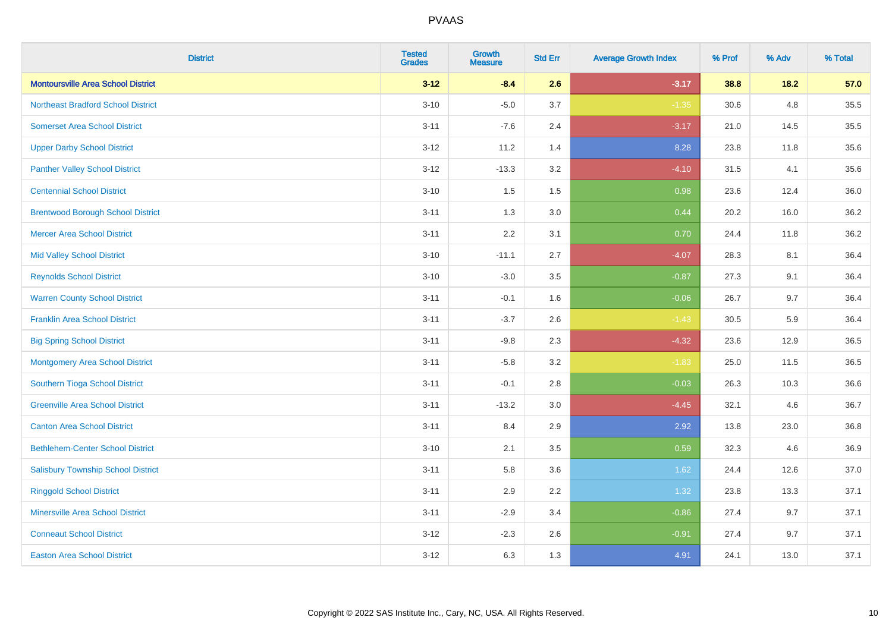| <b>District</b>                           | <b>Tested</b><br><b>Grades</b> | <b>Growth</b><br><b>Measure</b> | <b>Std Err</b> | <b>Average Growth Index</b> | % Prof | % Adv | % Total |
|-------------------------------------------|--------------------------------|---------------------------------|----------------|-----------------------------|--------|-------|---------|
| <b>Montoursville Area School District</b> | $3 - 12$                       | $-8.4$                          | 2.6            | $-3.17$                     | 38.8   | 18.2  | 57.0    |
| <b>Northeast Bradford School District</b> | $3 - 10$                       | $-5.0$                          | 3.7            | $-1.35$                     | 30.6   | 4.8   | 35.5    |
| <b>Somerset Area School District</b>      | $3 - 11$                       | $-7.6$                          | 2.4            | $-3.17$                     | 21.0   | 14.5  | 35.5    |
| <b>Upper Darby School District</b>        | $3 - 12$                       | 11.2                            | 1.4            | 8.28                        | 23.8   | 11.8  | 35.6    |
| <b>Panther Valley School District</b>     | $3 - 12$                       | $-13.3$                         | 3.2            | $-4.10$                     | 31.5   | 4.1   | 35.6    |
| <b>Centennial School District</b>         | $3 - 10$                       | 1.5                             | 1.5            | 0.98                        | 23.6   | 12.4  | 36.0    |
| <b>Brentwood Borough School District</b>  | $3 - 11$                       | 1.3                             | 3.0            | 0.44                        | 20.2   | 16.0  | 36.2    |
| <b>Mercer Area School District</b>        | $3 - 11$                       | 2.2                             | 3.1            | 0.70                        | 24.4   | 11.8  | 36.2    |
| <b>Mid Valley School District</b>         | $3 - 10$                       | $-11.1$                         | 2.7            | $-4.07$                     | 28.3   | 8.1   | 36.4    |
| <b>Reynolds School District</b>           | $3 - 10$                       | $-3.0$                          | 3.5            | $-0.87$                     | 27.3   | 9.1   | 36.4    |
| <b>Warren County School District</b>      | $3 - 11$                       | $-0.1$                          | 1.6            | $-0.06$                     | 26.7   | 9.7   | 36.4    |
| <b>Franklin Area School District</b>      | $3 - 11$                       | $-3.7$                          | 2.6            | $-1.43$                     | 30.5   | 5.9   | 36.4    |
| <b>Big Spring School District</b>         | $3 - 11$                       | $-9.8$                          | 2.3            | $-4.32$                     | 23.6   | 12.9  | 36.5    |
| <b>Montgomery Area School District</b>    | $3 - 11$                       | $-5.8$                          | 3.2            | $-1.83$                     | 25.0   | 11.5  | 36.5    |
| Southern Tioga School District            | $3 - 11$                       | $-0.1$                          | 2.8            | $-0.03$                     | 26.3   | 10.3  | 36.6    |
| <b>Greenville Area School District</b>    | $3 - 11$                       | $-13.2$                         | 3.0            | $-4.45$                     | 32.1   | 4.6   | 36.7    |
| <b>Canton Area School District</b>        | $3 - 11$                       | 8.4                             | 2.9            | 2.92                        | 13.8   | 23.0  | 36.8    |
| <b>Bethlehem-Center School District</b>   | $3 - 10$                       | 2.1                             | 3.5            | 0.59                        | 32.3   | 4.6   | 36.9    |
| <b>Salisbury Township School District</b> | $3 - 11$                       | 5.8                             | 3.6            | 1.62                        | 24.4   | 12.6  | 37.0    |
| <b>Ringgold School District</b>           | $3 - 11$                       | 2.9                             | 2.2            | 1.32                        | 23.8   | 13.3  | 37.1    |
| <b>Minersville Area School District</b>   | $3 - 11$                       | $-2.9$                          | 3.4            | $-0.86$                     | 27.4   | 9.7   | 37.1    |
| <b>Conneaut School District</b>           | $3 - 12$                       | $-2.3$                          | 2.6            | $-0.91$                     | 27.4   | 9.7   | 37.1    |
| <b>Easton Area School District</b>        | $3 - 12$                       | 6.3                             | 1.3            | 4.91                        | 24.1   | 13.0  | 37.1    |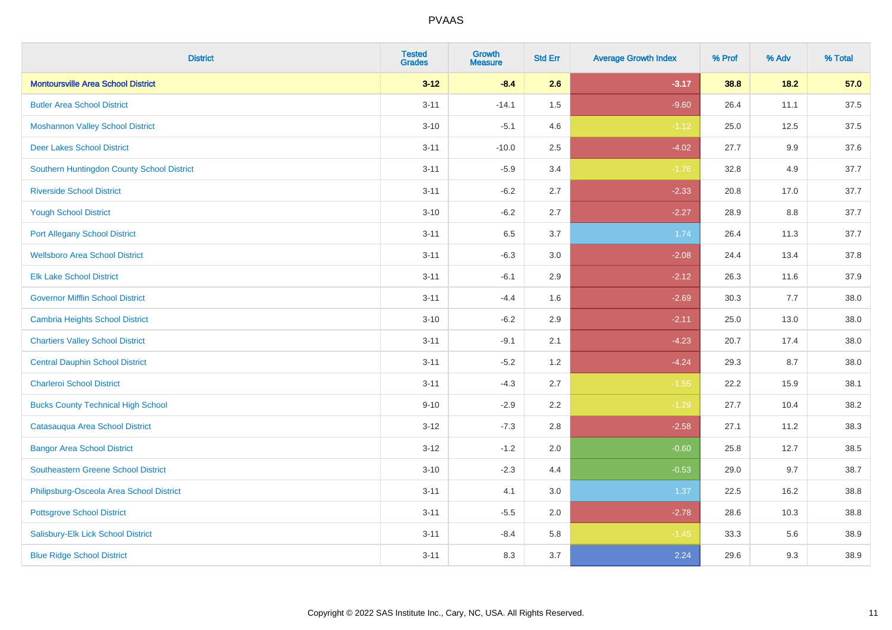| <b>District</b>                            | <b>Tested</b><br><b>Grades</b> | <b>Growth</b><br><b>Measure</b> | <b>Std Err</b> | <b>Average Growth Index</b> | % Prof | % Adv   | % Total |
|--------------------------------------------|--------------------------------|---------------------------------|----------------|-----------------------------|--------|---------|---------|
| <b>Montoursville Area School District</b>  | $3 - 12$                       | $-8.4$                          | 2.6            | $-3.17$                     | 38.8   | 18.2    | 57.0    |
| <b>Butler Area School District</b>         | $3 - 11$                       | $-14.1$                         | $1.5\,$        | $-9.60$                     | 26.4   | 11.1    | 37.5    |
| <b>Moshannon Valley School District</b>    | $3 - 10$                       | $-5.1$                          | 4.6            | $-1.12$                     | 25.0   | 12.5    | 37.5    |
| <b>Deer Lakes School District</b>          | $3 - 11$                       | $-10.0$                         | 2.5            | $-4.02$                     | 27.7   | $9.9\,$ | 37.6    |
| Southern Huntingdon County School District | $3 - 11$                       | $-5.9$                          | 3.4            | $-1.76$                     | 32.8   | 4.9     | 37.7    |
| <b>Riverside School District</b>           | $3 - 11$                       | $-6.2$                          | 2.7            | $-2.33$                     | 20.8   | 17.0    | 37.7    |
| <b>Yough School District</b>               | $3 - 10$                       | $-6.2$                          | 2.7            | $-2.27$                     | 28.9   | 8.8     | 37.7    |
| <b>Port Allegany School District</b>       | $3 - 11$                       | 6.5                             | 3.7            | 1.74                        | 26.4   | 11.3    | 37.7    |
| <b>Wellsboro Area School District</b>      | $3 - 11$                       | $-6.3$                          | 3.0            | $-2.08$                     | 24.4   | 13.4    | 37.8    |
| <b>Elk Lake School District</b>            | $3 - 11$                       | $-6.1$                          | 2.9            | $-2.12$                     | 26.3   | 11.6    | 37.9    |
| <b>Governor Mifflin School District</b>    | $3 - 11$                       | $-4.4$                          | 1.6            | $-2.69$                     | 30.3   | 7.7     | 38.0    |
| <b>Cambria Heights School District</b>     | $3 - 10$                       | $-6.2$                          | 2.9            | $-2.11$                     | 25.0   | 13.0    | 38.0    |
| <b>Chartiers Valley School District</b>    | $3 - 11$                       | $-9.1$                          | 2.1            | $-4.23$                     | 20.7   | 17.4    | 38.0    |
| <b>Central Dauphin School District</b>     | $3 - 11$                       | $-5.2$                          | 1.2            | $-4.24$                     | 29.3   | 8.7     | 38.0    |
| <b>Charleroi School District</b>           | $3 - 11$                       | $-4.3$                          | 2.7            | $-1.55$                     | 22.2   | 15.9    | 38.1    |
| <b>Bucks County Technical High School</b>  | $9 - 10$                       | $-2.9$                          | 2.2            | $-1.29$                     | 27.7   | 10.4    | 38.2    |
| Catasauqua Area School District            | $3 - 12$                       | $-7.3$                          | 2.8            | $-2.58$                     | 27.1   | 11.2    | 38.3    |
| <b>Bangor Area School District</b>         | $3 - 12$                       | $-1.2$                          | 2.0            | $-0.60$                     | 25.8   | 12.7    | 38.5    |
| <b>Southeastern Greene School District</b> | $3 - 10$                       | $-2.3$                          | 4.4            | $-0.53$                     | 29.0   | 9.7     | 38.7    |
| Philipsburg-Osceola Area School District   | $3 - 11$                       | 4.1                             | 3.0            | 1.37                        | 22.5   | 16.2    | 38.8    |
| <b>Pottsgrove School District</b>          | $3 - 11$                       | $-5.5$                          | 2.0            | $-2.78$                     | 28.6   | 10.3    | 38.8    |
| Salisbury-Elk Lick School District         | $3 - 11$                       | $-8.4$                          | 5.8            | $-1.45$                     | 33.3   | 5.6     | 38.9    |
| <b>Blue Ridge School District</b>          | $3 - 11$                       | 8.3                             | 3.7            | 2.24                        | 29.6   | 9.3     | 38.9    |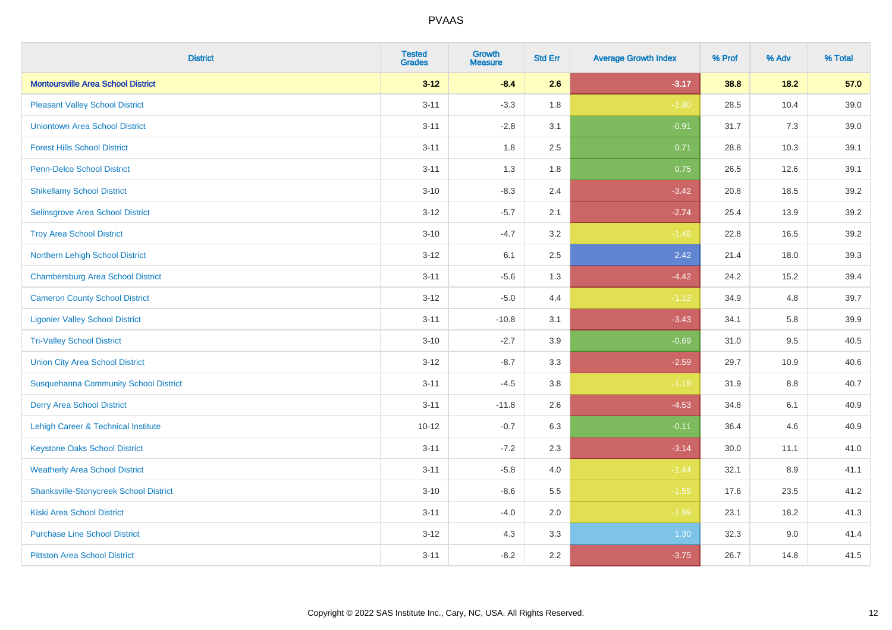| <b>District</b>                                | <b>Tested</b><br><b>Grades</b> | Growth<br><b>Measure</b> | <b>Std Err</b> | <b>Average Growth Index</b> | % Prof | % Adv   | % Total |
|------------------------------------------------|--------------------------------|--------------------------|----------------|-----------------------------|--------|---------|---------|
| <b>Montoursville Area School District</b>      | $3 - 12$                       | $-8.4$                   | 2.6            | $-3.17$                     | 38.8   | $18.2$  | 57.0    |
| <b>Pleasant Valley School District</b>         | $3 - 11$                       | $-3.3$                   | 1.8            | $-1.80$                     | 28.5   | 10.4    | 39.0    |
| <b>Uniontown Area School District</b>          | $3 - 11$                       | $-2.8$                   | 3.1            | $-0.91$                     | 31.7   | 7.3     | 39.0    |
| <b>Forest Hills School District</b>            | $3 - 11$                       | 1.8                      | 2.5            | 0.71                        | 28.8   | 10.3    | 39.1    |
| Penn-Delco School District                     | $3 - 11$                       | 1.3                      | 1.8            | 0.75                        | 26.5   | 12.6    | 39.1    |
| <b>Shikellamy School District</b>              | $3 - 10$                       | $-8.3$                   | 2.4            | $-3.42$                     | 20.8   | 18.5    | 39.2    |
| Selinsgrove Area School District               | $3 - 12$                       | $-5.7$                   | 2.1            | $-2.74$                     | 25.4   | 13.9    | 39.2    |
| <b>Troy Area School District</b>               | $3 - 10$                       | $-4.7$                   | 3.2            | $-1.46$                     | 22.8   | 16.5    | 39.2    |
| Northern Lehigh School District                | $3 - 12$                       | 6.1                      | 2.5            | 2.42                        | 21.4   | 18.0    | 39.3    |
| <b>Chambersburg Area School District</b>       | $3 - 11$                       | $-5.6$                   | 1.3            | $-4.42$                     | 24.2   | 15.2    | 39.4    |
| <b>Cameron County School District</b>          | $3 - 12$                       | $-5.0$                   | 4.4            | $-1.12$                     | 34.9   | 4.8     | 39.7    |
| <b>Ligonier Valley School District</b>         | $3 - 11$                       | $-10.8$                  | 3.1            | $-3.43$                     | 34.1   | 5.8     | 39.9    |
| <b>Tri-Valley School District</b>              | $3 - 10$                       | $-2.7$                   | 3.9            | $-0.69$                     | 31.0   | 9.5     | 40.5    |
| <b>Union City Area School District</b>         | $3 - 12$                       | $-8.7$                   | 3.3            | $-2.59$                     | 29.7   | 10.9    | 40.6    |
| <b>Susquehanna Community School District</b>   | $3 - 11$                       | $-4.5$                   | 3.8            | $-1.19$                     | 31.9   | 8.8     | 40.7    |
| <b>Derry Area School District</b>              | $3 - 11$                       | $-11.8$                  | 2.6            | $-4.53$                     | 34.8   | 6.1     | 40.9    |
| <b>Lehigh Career &amp; Technical Institute</b> | $10 - 12$                      | $-0.7$                   | 6.3            | $-0.11$                     | 36.4   | 4.6     | 40.9    |
| <b>Keystone Oaks School District</b>           | $3 - 11$                       | $-7.2$                   | 2.3            | $-3.14$                     | 30.0   | 11.1    | 41.0    |
| <b>Weatherly Area School District</b>          | $3 - 11$                       | $-5.8$                   | 4.0            | $-1.44$                     | 32.1   | $8.9\,$ | 41.1    |
| <b>Shanksville-Stonycreek School District</b>  | $3 - 10$                       | $-8.6$                   | 5.5            | $-1.55$                     | 17.6   | 23.5    | 41.2    |
| <b>Kiski Area School District</b>              | $3 - 11$                       | $-4.0$                   | 2.0            | $-1.99$                     | 23.1   | 18.2    | 41.3    |
| <b>Purchase Line School District</b>           | $3 - 12$                       | 4.3                      | 3.3            | 1.30                        | 32.3   | 9.0     | 41.4    |
| <b>Pittston Area School District</b>           | $3 - 11$                       | $-8.2$                   | 2.2            | $-3.75$                     | 26.7   | 14.8    | 41.5    |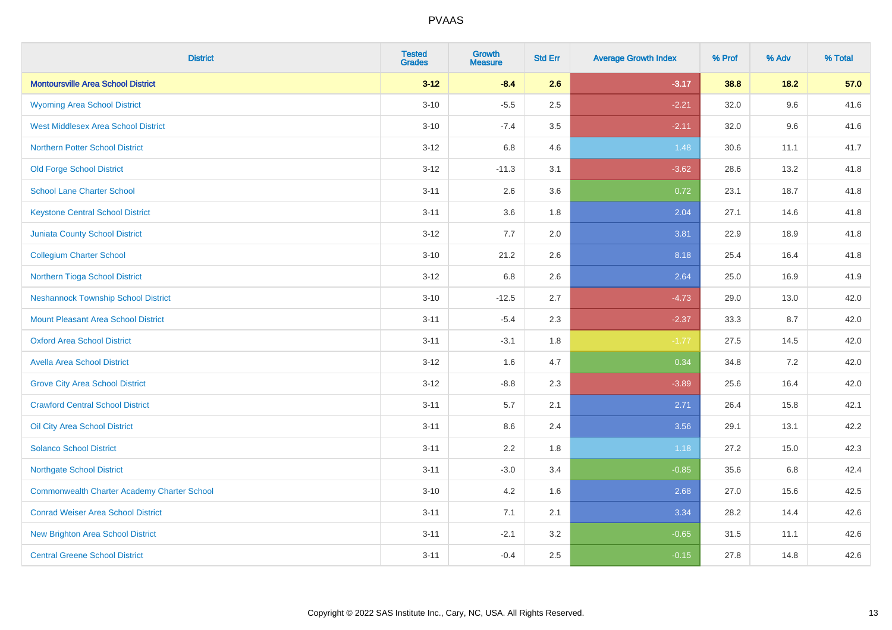| <b>District</b>                             | <b>Tested</b><br><b>Grades</b> | <b>Growth</b><br><b>Measure</b> | <b>Std Err</b> | <b>Average Growth Index</b> | % Prof | % Adv | % Total |
|---------------------------------------------|--------------------------------|---------------------------------|----------------|-----------------------------|--------|-------|---------|
| <b>Montoursville Area School District</b>   | $3 - 12$                       | $-8.4$                          | 2.6            | $-3.17$                     | 38.8   | 18.2  | 57.0    |
| <b>Wyoming Area School District</b>         | $3 - 10$                       | $-5.5$                          | 2.5            | $-2.21$                     | 32.0   | 9.6   | 41.6    |
| <b>West Middlesex Area School District</b>  | $3 - 10$                       | $-7.4$                          | 3.5            | $-2.11$                     | 32.0   | 9.6   | 41.6    |
| <b>Northern Potter School District</b>      | $3 - 12$                       | 6.8                             | 4.6            | 1.48                        | 30.6   | 11.1  | 41.7    |
| <b>Old Forge School District</b>            | $3 - 12$                       | $-11.3$                         | 3.1            | $-3.62$                     | 28.6   | 13.2  | 41.8    |
| <b>School Lane Charter School</b>           | $3 - 11$                       | 2.6                             | 3.6            | 0.72                        | 23.1   | 18.7  | 41.8    |
| <b>Keystone Central School District</b>     | $3 - 11$                       | 3.6                             | 1.8            | 2.04                        | 27.1   | 14.6  | 41.8    |
| <b>Juniata County School District</b>       | $3 - 12$                       | 7.7                             | 2.0            | 3.81                        | 22.9   | 18.9  | 41.8    |
| <b>Collegium Charter School</b>             | $3 - 10$                       | 21.2                            | 2.6            | 8.18                        | 25.4   | 16.4  | 41.8    |
| Northern Tioga School District              | $3 - 12$                       | 6.8                             | 2.6            | 2.64                        | 25.0   | 16.9  | 41.9    |
| <b>Neshannock Township School District</b>  | $3 - 10$                       | $-12.5$                         | 2.7            | $-4.73$                     | 29.0   | 13.0  | 42.0    |
| <b>Mount Pleasant Area School District</b>  | $3 - 11$                       | $-5.4$                          | 2.3            | $-2.37$                     | 33.3   | 8.7   | 42.0    |
| <b>Oxford Area School District</b>          | $3 - 11$                       | $-3.1$                          | 1.8            | $-1.77$                     | 27.5   | 14.5  | 42.0    |
| <b>Avella Area School District</b>          | $3 - 12$                       | 1.6                             | 4.7            | 0.34                        | 34.8   | 7.2   | 42.0    |
| <b>Grove City Area School District</b>      | $3 - 12$                       | $-8.8$                          | 2.3            | $-3.89$                     | 25.6   | 16.4  | 42.0    |
| <b>Crawford Central School District</b>     | $3 - 11$                       | 5.7                             | 2.1            | 2.71                        | 26.4   | 15.8  | 42.1    |
| Oil City Area School District               | $3 - 11$                       | 8.6                             | 2.4            | 3.56                        | 29.1   | 13.1  | 42.2    |
| <b>Solanco School District</b>              | $3 - 11$                       | 2.2                             | 1.8            | 1.18                        | 27.2   | 15.0  | 42.3    |
| <b>Northgate School District</b>            | $3 - 11$                       | $-3.0$                          | 3.4            | $-0.85$                     | 35.6   | 6.8   | 42.4    |
| Commonwealth Charter Academy Charter School | $3 - 10$                       | 4.2                             | 1.6            | 2.68                        | 27.0   | 15.6  | 42.5    |
| <b>Conrad Weiser Area School District</b>   | $3 - 11$                       | 7.1                             | 2.1            | 3.34                        | 28.2   | 14.4  | 42.6    |
| <b>New Brighton Area School District</b>    | $3 - 11$                       | $-2.1$                          | 3.2            | $-0.65$                     | 31.5   | 11.1  | 42.6    |
| <b>Central Greene School District</b>       | $3 - 11$                       | $-0.4$                          | 2.5            | $-0.15$                     | 27.8   | 14.8  | 42.6    |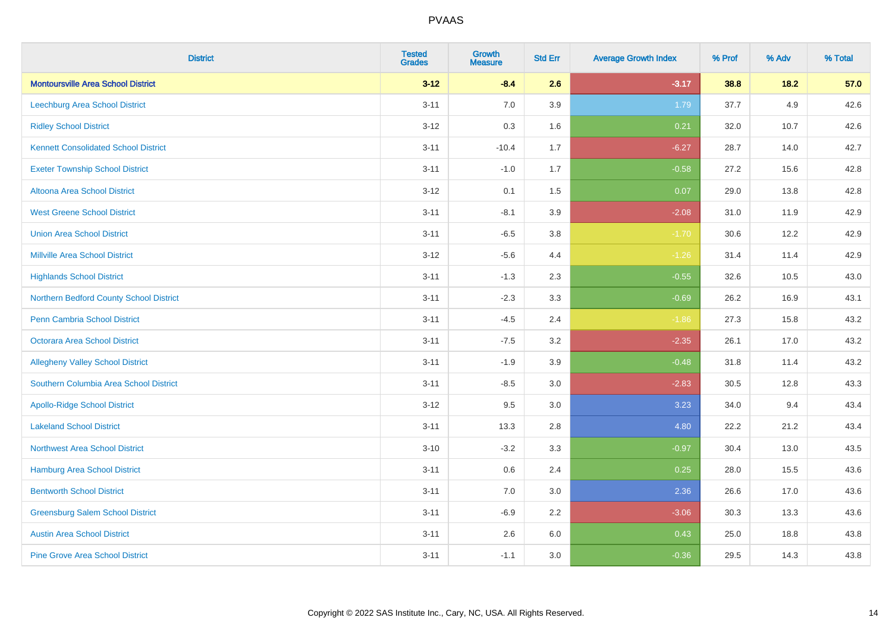| <b>District</b>                             | <b>Tested</b><br><b>Grades</b> | <b>Growth</b><br><b>Measure</b> | <b>Std Err</b> | <b>Average Growth Index</b> | % Prof | % Adv  | % Total |
|---------------------------------------------|--------------------------------|---------------------------------|----------------|-----------------------------|--------|--------|---------|
| <b>Montoursville Area School District</b>   | $3 - 12$                       | $-8.4$                          | 2.6            | $-3.17$                     | 38.8   | $18.2$ | 57.0    |
| <b>Leechburg Area School District</b>       | $3 - 11$                       | 7.0                             | 3.9            | 1.79                        | 37.7   | 4.9    | 42.6    |
| <b>Ridley School District</b>               | $3 - 12$                       | 0.3                             | 1.6            | 0.21                        | 32.0   | 10.7   | 42.6    |
| <b>Kennett Consolidated School District</b> | $3 - 11$                       | $-10.4$                         | 1.7            | $-6.27$                     | 28.7   | 14.0   | 42.7    |
| <b>Exeter Township School District</b>      | $3 - 11$                       | $-1.0$                          | 1.7            | $-0.58$                     | 27.2   | 15.6   | 42.8    |
| Altoona Area School District                | $3 - 12$                       | 0.1                             | 1.5            | 0.07                        | 29.0   | 13.8   | 42.8    |
| <b>West Greene School District</b>          | $3 - 11$                       | $-8.1$                          | 3.9            | $-2.08$                     | 31.0   | 11.9   | 42.9    |
| <b>Union Area School District</b>           | $3 - 11$                       | $-6.5$                          | 3.8            | $-1.70$                     | 30.6   | 12.2   | 42.9    |
| <b>Millville Area School District</b>       | $3 - 12$                       | $-5.6$                          | 4.4            | $-1.26$                     | 31.4   | 11.4   | 42.9    |
| <b>Highlands School District</b>            | $3 - 11$                       | $-1.3$                          | 2.3            | $-0.55$                     | 32.6   | 10.5   | 43.0    |
| Northern Bedford County School District     | $3 - 11$                       | $-2.3$                          | 3.3            | $-0.69$                     | 26.2   | 16.9   | 43.1    |
| <b>Penn Cambria School District</b>         | $3 - 11$                       | $-4.5$                          | 2.4            | $-1.86$                     | 27.3   | 15.8   | 43.2    |
| Octorara Area School District               | $3 - 11$                       | $-7.5$                          | 3.2            | $-2.35$                     | 26.1   | 17.0   | 43.2    |
| <b>Allegheny Valley School District</b>     | $3 - 11$                       | $-1.9$                          | 3.9            | $-0.48$                     | 31.8   | 11.4   | 43.2    |
| Southern Columbia Area School District      | $3 - 11$                       | $-8.5$                          | 3.0            | $-2.83$                     | 30.5   | 12.8   | 43.3    |
| <b>Apollo-Ridge School District</b>         | $3 - 12$                       | 9.5                             | 3.0            | 3.23                        | 34.0   | 9.4    | 43.4    |
| <b>Lakeland School District</b>             | $3 - 11$                       | 13.3                            | 2.8            | 4.80                        | 22.2   | 21.2   | 43.4    |
| <b>Northwest Area School District</b>       | $3 - 10$                       | $-3.2$                          | 3.3            | $-0.97$                     | 30.4   | 13.0   | 43.5    |
| <b>Hamburg Area School District</b>         | $3 - 11$                       | $0.6\,$                         | 2.4            | 0.25                        | 28.0   | 15.5   | 43.6    |
| <b>Bentworth School District</b>            | $3 - 11$                       | 7.0                             | 3.0            | 2.36                        | 26.6   | 17.0   | 43.6    |
| <b>Greensburg Salem School District</b>     | $3 - 11$                       | $-6.9$                          | 2.2            | $-3.06$                     | 30.3   | 13.3   | 43.6    |
| <b>Austin Area School District</b>          | $3 - 11$                       | 2.6                             | 6.0            | 0.43                        | 25.0   | 18.8   | 43.8    |
| <b>Pine Grove Area School District</b>      | $3 - 11$                       | $-1.1$                          | 3.0            | $-0.36$                     | 29.5   | 14.3   | 43.8    |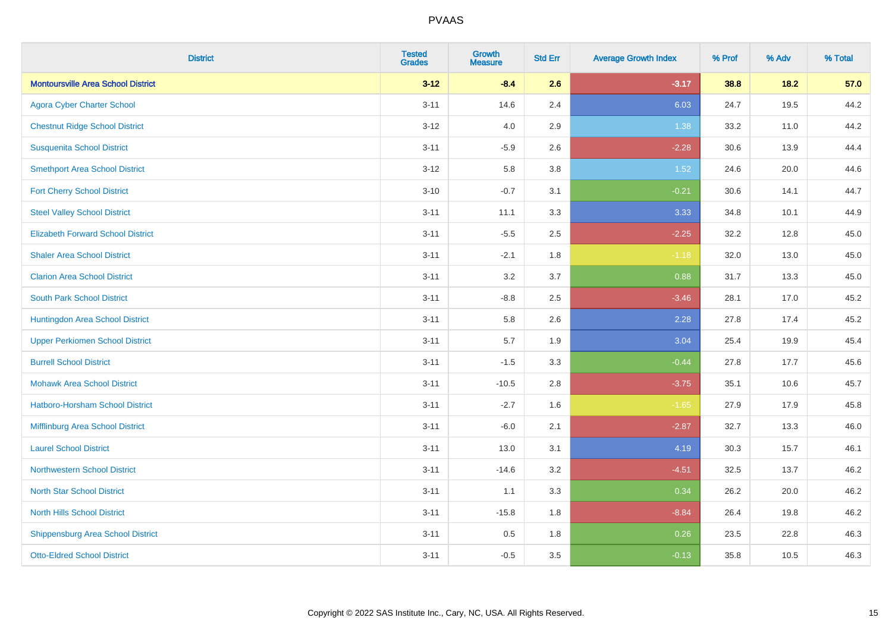| <b>District</b>                           | <b>Tested</b><br><b>Grades</b> | <b>Growth</b><br><b>Measure</b> | <b>Std Err</b> | <b>Average Growth Index</b> | % Prof | % Adv | % Total |
|-------------------------------------------|--------------------------------|---------------------------------|----------------|-----------------------------|--------|-------|---------|
| <b>Montoursville Area School District</b> | $3 - 12$                       | $-8.4$                          | 2.6            | $-3.17$                     | 38.8   | 18.2  | 57.0    |
| <b>Agora Cyber Charter School</b>         | $3 - 11$                       | 14.6                            | 2.4            | 6.03                        | 24.7   | 19.5  | 44.2    |
| <b>Chestnut Ridge School District</b>     | $3 - 12$                       | 4.0                             | 2.9            | 1.38                        | 33.2   | 11.0  | 44.2    |
| <b>Susquenita School District</b>         | $3 - 11$                       | $-5.9$                          | 2.6            | $-2.28$                     | 30.6   | 13.9  | 44.4    |
| <b>Smethport Area School District</b>     | $3 - 12$                       | 5.8                             | 3.8            | 1.52                        | 24.6   | 20.0  | 44.6    |
| <b>Fort Cherry School District</b>        | $3 - 10$                       | $-0.7$                          | 3.1            | $-0.21$                     | 30.6   | 14.1  | 44.7    |
| <b>Steel Valley School District</b>       | $3 - 11$                       | 11.1                            | 3.3            | 3.33                        | 34.8   | 10.1  | 44.9    |
| <b>Elizabeth Forward School District</b>  | $3 - 11$                       | $-5.5$                          | 2.5            | $-2.25$                     | 32.2   | 12.8  | 45.0    |
| <b>Shaler Area School District</b>        | $3 - 11$                       | $-2.1$                          | 1.8            | $-1.18$                     | 32.0   | 13.0  | 45.0    |
| <b>Clarion Area School District</b>       | $3 - 11$                       | 3.2                             | 3.7            | 0.88                        | 31.7   | 13.3  | 45.0    |
| <b>South Park School District</b>         | $3 - 11$                       | $-8.8$                          | 2.5            | $-3.46$                     | 28.1   | 17.0  | 45.2    |
| Huntingdon Area School District           | $3 - 11$                       | 5.8                             | 2.6            | 2.28                        | 27.8   | 17.4  | 45.2    |
| <b>Upper Perkiomen School District</b>    | $3 - 11$                       | 5.7                             | 1.9            | 3.04                        | 25.4   | 19.9  | 45.4    |
| <b>Burrell School District</b>            | $3 - 11$                       | $-1.5$                          | 3.3            | $-0.44$                     | 27.8   | 17.7  | 45.6    |
| <b>Mohawk Area School District</b>        | $3 - 11$                       | $-10.5$                         | 2.8            | $-3.75$                     | 35.1   | 10.6  | 45.7    |
| Hatboro-Horsham School District           | $3 - 11$                       | $-2.7$                          | 1.6            | $-1.65$                     | 27.9   | 17.9  | 45.8    |
| Mifflinburg Area School District          | $3 - 11$                       | $-6.0$                          | 2.1            | $-2.87$                     | 32.7   | 13.3  | 46.0    |
| <b>Laurel School District</b>             | $3 - 11$                       | 13.0                            | 3.1            | 4.19                        | 30.3   | 15.7  | 46.1    |
| Northwestern School District              | $3 - 11$                       | $-14.6$                         | 3.2            | $-4.51$                     | 32.5   | 13.7  | 46.2    |
| <b>North Star School District</b>         | $3 - 11$                       | 1.1                             | 3.3            | 0.34                        | 26.2   | 20.0  | 46.2    |
| <b>North Hills School District</b>        | $3 - 11$                       | $-15.8$                         | 1.8            | $-8.84$                     | 26.4   | 19.8  | 46.2    |
| <b>Shippensburg Area School District</b>  | $3 - 11$                       | 0.5                             | 1.8            | 0.26                        | 23.5   | 22.8  | 46.3    |
| <b>Otto-Eldred School District</b>        | $3 - 11$                       | $-0.5$                          | 3.5            | $-0.13$                     | 35.8   | 10.5  | 46.3    |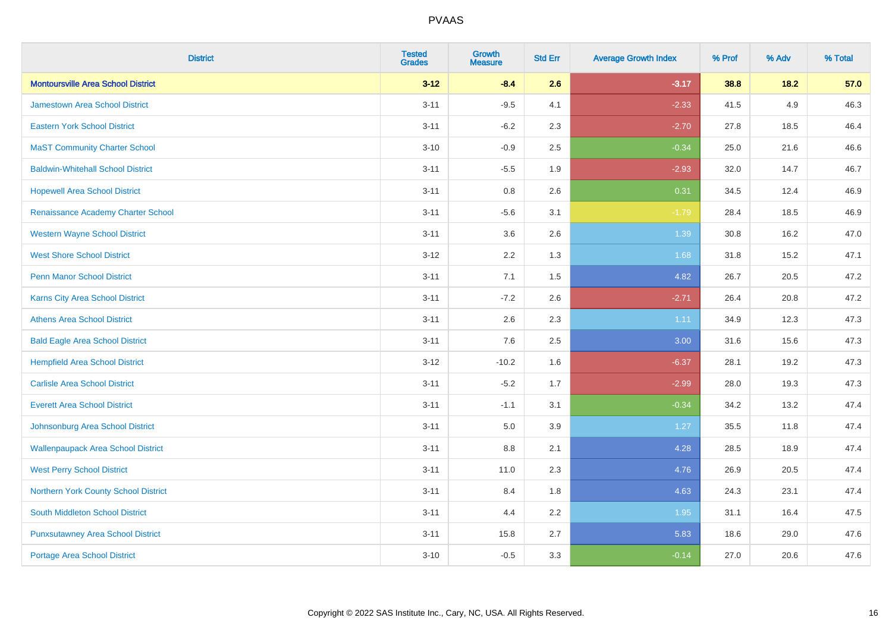| <b>District</b>                           | <b>Tested</b><br><b>Grades</b> | <b>Growth</b><br><b>Measure</b> | <b>Std Err</b> | <b>Average Growth Index</b> | % Prof | % Adv | % Total |
|-------------------------------------------|--------------------------------|---------------------------------|----------------|-----------------------------|--------|-------|---------|
| <b>Montoursville Area School District</b> | $3 - 12$                       | $-8.4$                          | 2.6            | $-3.17$                     | 38.8   | 18.2  | 57.0    |
| <b>Jamestown Area School District</b>     | $3 - 11$                       | $-9.5$                          | 4.1            | $-2.33$                     | 41.5   | 4.9   | 46.3    |
| <b>Eastern York School District</b>       | $3 - 11$                       | $-6.2$                          | 2.3            | $-2.70$                     | 27.8   | 18.5  | 46.4    |
| <b>MaST Community Charter School</b>      | $3 - 10$                       | $-0.9$                          | 2.5            | $-0.34$                     | 25.0   | 21.6  | 46.6    |
| <b>Baldwin-Whitehall School District</b>  | $3 - 11$                       | $-5.5$                          | 1.9            | $-2.93$                     | 32.0   | 14.7  | 46.7    |
| <b>Hopewell Area School District</b>      | $3 - 11$                       | 0.8                             | 2.6            | 0.31                        | 34.5   | 12.4  | 46.9    |
| Renaissance Academy Charter School        | $3 - 11$                       | $-5.6$                          | 3.1            | $-1.79$                     | 28.4   | 18.5  | 46.9    |
| <b>Western Wayne School District</b>      | $3 - 11$                       | 3.6                             | 2.6            | 1.39                        | 30.8   | 16.2  | 47.0    |
| <b>West Shore School District</b>         | $3 - 12$                       | 2.2                             | 1.3            | 1.68                        | 31.8   | 15.2  | 47.1    |
| Penn Manor School District                | $3 - 11$                       | 7.1                             | 1.5            | 4.82                        | 26.7   | 20.5  | 47.2    |
| <b>Karns City Area School District</b>    | $3 - 11$                       | $-7.2$                          | 2.6            | $-2.71$                     | 26.4   | 20.8  | 47.2    |
| <b>Athens Area School District</b>        | $3 - 11$                       | 2.6                             | 2.3            | 1.11                        | 34.9   | 12.3  | 47.3    |
| <b>Bald Eagle Area School District</b>    | $3 - 11$                       | 7.6                             | 2.5            | 3.00                        | 31.6   | 15.6  | 47.3    |
| <b>Hempfield Area School District</b>     | $3 - 12$                       | $-10.2$                         | 1.6            | $-6.37$                     | 28.1   | 19.2  | 47.3    |
| <b>Carlisle Area School District</b>      | $3 - 11$                       | $-5.2$                          | 1.7            | $-2.99$                     | 28.0   | 19.3  | 47.3    |
| <b>Everett Area School District</b>       | $3 - 11$                       | $-1.1$                          | 3.1            | $-0.34$                     | 34.2   | 13.2  | 47.4    |
| Johnsonburg Area School District          | $3 - 11$                       | 5.0                             | 3.9            | 1.27                        | 35.5   | 11.8  | 47.4    |
| <b>Wallenpaupack Area School District</b> | $3 - 11$                       | 8.8                             | 2.1            | 4.28                        | 28.5   | 18.9  | 47.4    |
| <b>West Perry School District</b>         | $3 - 11$                       | 11.0                            | 2.3            | 4.76                        | 26.9   | 20.5  | 47.4    |
| Northern York County School District      | $3 - 11$                       | 8.4                             | 1.8            | 4.63                        | 24.3   | 23.1  | 47.4    |
| <b>South Middleton School District</b>    | $3 - 11$                       | 4.4                             | 2.2            | 1.95                        | 31.1   | 16.4  | 47.5    |
| <b>Punxsutawney Area School District</b>  | $3 - 11$                       | 15.8                            | 2.7            | 5.83                        | 18.6   | 29.0  | 47.6    |
| <b>Portage Area School District</b>       | $3 - 10$                       | $-0.5$                          | 3.3            | $-0.14$                     | 27.0   | 20.6  | 47.6    |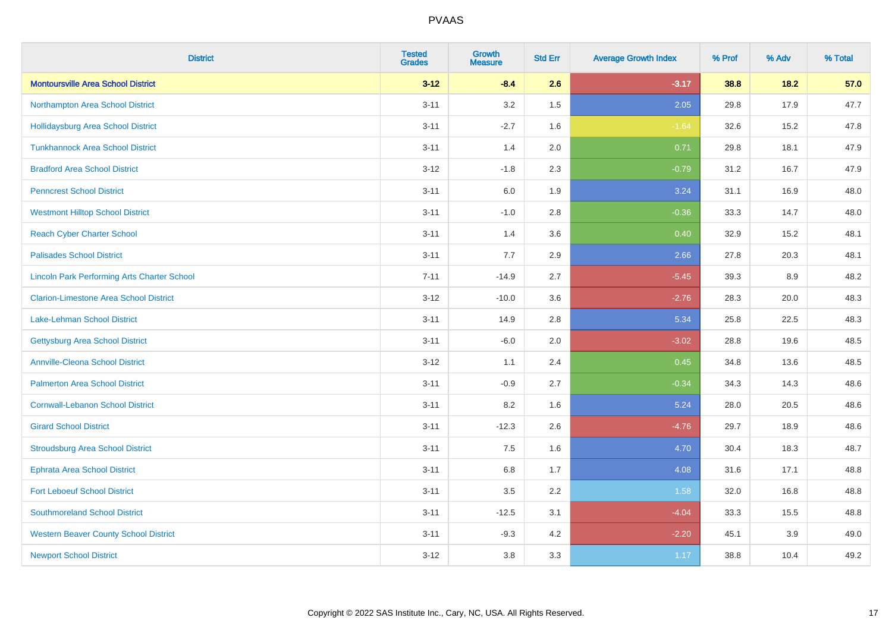| <b>District</b>                                    | <b>Tested</b><br><b>Grades</b> | <b>Growth</b><br><b>Measure</b> | <b>Std Err</b> | <b>Average Growth Index</b> | % Prof | % Adv | % Total |
|----------------------------------------------------|--------------------------------|---------------------------------|----------------|-----------------------------|--------|-------|---------|
| <b>Montoursville Area School District</b>          | $3 - 12$                       | $-8.4$                          | 2.6            | $-3.17$                     | 38.8   | 18.2  | 57.0    |
| Northampton Area School District                   | $3 - 11$                       | 3.2                             | 1.5            | 2.05                        | 29.8   | 17.9  | 47.7    |
| <b>Hollidaysburg Area School District</b>          | $3 - 11$                       | $-2.7$                          | 1.6            | $-1.64$                     | 32.6   | 15.2  | 47.8    |
| <b>Tunkhannock Area School District</b>            | $3 - 11$                       | 1.4                             | 2.0            | 0.71                        | 29.8   | 18.1  | 47.9    |
| <b>Bradford Area School District</b>               | $3 - 12$                       | $-1.8$                          | 2.3            | $-0.79$                     | 31.2   | 16.7  | 47.9    |
| <b>Penncrest School District</b>                   | $3 - 11$                       | 6.0                             | 1.9            | 3.24                        | 31.1   | 16.9  | 48.0    |
| <b>Westmont Hilltop School District</b>            | $3 - 11$                       | $-1.0$                          | 2.8            | $-0.36$                     | 33.3   | 14.7  | 48.0    |
| <b>Reach Cyber Charter School</b>                  | $3 - 11$                       | 1.4                             | 3.6            | 0.40                        | 32.9   | 15.2  | 48.1    |
| <b>Palisades School District</b>                   | $3 - 11$                       | 7.7                             | 2.9            | 2.66                        | 27.8   | 20.3  | 48.1    |
| <b>Lincoln Park Performing Arts Charter School</b> | $7 - 11$                       | $-14.9$                         | 2.7            | $-5.45$                     | 39.3   | 8.9   | 48.2    |
| <b>Clarion-Limestone Area School District</b>      | $3 - 12$                       | $-10.0$                         | 3.6            | $-2.76$                     | 28.3   | 20.0  | 48.3    |
| <b>Lake-Lehman School District</b>                 | $3 - 11$                       | 14.9                            | 2.8            | 5.34                        | 25.8   | 22.5  | 48.3    |
| <b>Gettysburg Area School District</b>             | $3 - 11$                       | $-6.0$                          | 2.0            | $-3.02$                     | 28.8   | 19.6  | 48.5    |
| <b>Annville-Cleona School District</b>             | $3 - 12$                       | 1.1                             | 2.4            | 0.45                        | 34.8   | 13.6  | 48.5    |
| <b>Palmerton Area School District</b>              | $3 - 11$                       | $-0.9$                          | 2.7            | $-0.34$                     | 34.3   | 14.3  | 48.6    |
| <b>Cornwall-Lebanon School District</b>            | $3 - 11$                       | 8.2                             | 1.6            | 5.24                        | 28.0   | 20.5  | 48.6    |
| <b>Girard School District</b>                      | $3 - 11$                       | $-12.3$                         | 2.6            | $-4.76$                     | 29.7   | 18.9  | 48.6    |
| <b>Stroudsburg Area School District</b>            | $3 - 11$                       | 7.5                             | 1.6            | 4.70                        | 30.4   | 18.3  | 48.7    |
| <b>Ephrata Area School District</b>                | $3 - 11$                       | $6.8\,$                         | 1.7            | 4.08                        | 31.6   | 17.1  | 48.8    |
| <b>Fort Leboeuf School District</b>                | $3 - 11$                       | 3.5                             | 2.2            | 1.58                        | 32.0   | 16.8  | 48.8    |
| <b>Southmoreland School District</b>               | $3 - 11$                       | $-12.5$                         | 3.1            | $-4.04$                     | 33.3   | 15.5  | 48.8    |
| <b>Western Beaver County School District</b>       | $3 - 11$                       | $-9.3$                          | 4.2            | $-2.20$                     | 45.1   | 3.9   | 49.0    |
| <b>Newport School District</b>                     | $3 - 12$                       | 3.8                             | 3.3            | 1.17                        | 38.8   | 10.4  | 49.2    |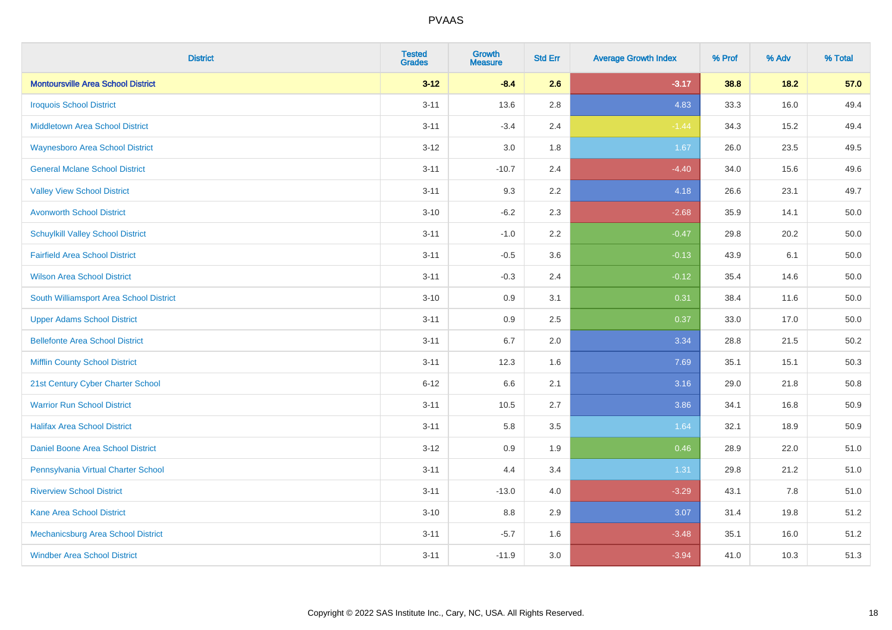| <b>District</b>                           | <b>Tested</b><br><b>Grades</b> | <b>Growth</b><br><b>Measure</b> | <b>Std Err</b> | <b>Average Growth Index</b> | % Prof | % Adv | % Total |
|-------------------------------------------|--------------------------------|---------------------------------|----------------|-----------------------------|--------|-------|---------|
| <b>Montoursville Area School District</b> | $3 - 12$                       | $-8.4$                          | 2.6            | $-3.17$                     | 38.8   | 18.2  | 57.0    |
| <b>Iroquois School District</b>           | $3 - 11$                       | 13.6                            | 2.8            | 4.83                        | 33.3   | 16.0  | 49.4    |
| <b>Middletown Area School District</b>    | $3 - 11$                       | $-3.4$                          | 2.4            | $-1.44$                     | 34.3   | 15.2  | 49.4    |
| <b>Waynesboro Area School District</b>    | $3 - 12$                       | 3.0                             | 1.8            | 1.67                        | 26.0   | 23.5  | 49.5    |
| <b>General Mclane School District</b>     | $3 - 11$                       | $-10.7$                         | 2.4            | $-4.40$                     | 34.0   | 15.6  | 49.6    |
| <b>Valley View School District</b>        | $3 - 11$                       | 9.3                             | 2.2            | 4.18                        | 26.6   | 23.1  | 49.7    |
| <b>Avonworth School District</b>          | $3 - 10$                       | $-6.2$                          | 2.3            | $-2.68$                     | 35.9   | 14.1  | 50.0    |
| <b>Schuylkill Valley School District</b>  | $3 - 11$                       | $-1.0$                          | 2.2            | $-0.47$                     | 29.8   | 20.2  | 50.0    |
| <b>Fairfield Area School District</b>     | $3 - 11$                       | $-0.5$                          | 3.6            | $-0.13$                     | 43.9   | 6.1   | 50.0    |
| <b>Wilson Area School District</b>        | $3 - 11$                       | $-0.3$                          | 2.4            | $-0.12$                     | 35.4   | 14.6  | 50.0    |
| South Williamsport Area School District   | $3 - 10$                       | 0.9                             | 3.1            | 0.31                        | 38.4   | 11.6  | 50.0    |
| <b>Upper Adams School District</b>        | $3 - 11$                       | 0.9                             | 2.5            | 0.37                        | 33.0   | 17.0  | 50.0    |
| <b>Bellefonte Area School District</b>    | $3 - 11$                       | 6.7                             | 2.0            | 3.34                        | 28.8   | 21.5  | 50.2    |
| <b>Mifflin County School District</b>     | $3 - 11$                       | 12.3                            | 1.6            | 7.69                        | 35.1   | 15.1  | 50.3    |
| 21st Century Cyber Charter School         | $6 - 12$                       | 6.6                             | 2.1            | 3.16                        | 29.0   | 21.8  | 50.8    |
| <b>Warrior Run School District</b>        | $3 - 11$                       | 10.5                            | 2.7            | 3.86                        | 34.1   | 16.8  | 50.9    |
| <b>Halifax Area School District</b>       | $3 - 11$                       | 5.8                             | 3.5            | 1.64                        | 32.1   | 18.9  | 50.9    |
| Daniel Boone Area School District         | $3 - 12$                       | 0.9                             | 1.9            | 0.46                        | 28.9   | 22.0  | 51.0    |
| Pennsylvania Virtual Charter School       | $3 - 11$                       | 4.4                             | 3.4            | 1.31                        | 29.8   | 21.2  | 51.0    |
| <b>Riverview School District</b>          | $3 - 11$                       | $-13.0$                         | 4.0            | $-3.29$                     | 43.1   | 7.8   | 51.0    |
| Kane Area School District                 | $3 - 10$                       | 8.8                             | 2.9            | 3.07                        | 31.4   | 19.8  | 51.2    |
| Mechanicsburg Area School District        | $3 - 11$                       | $-5.7$                          | 1.6            | $-3.48$                     | 35.1   | 16.0  | 51.2    |
| <b>Windber Area School District</b>       | $3 - 11$                       | $-11.9$                         | 3.0            | $-3.94$                     | 41.0   | 10.3  | 51.3    |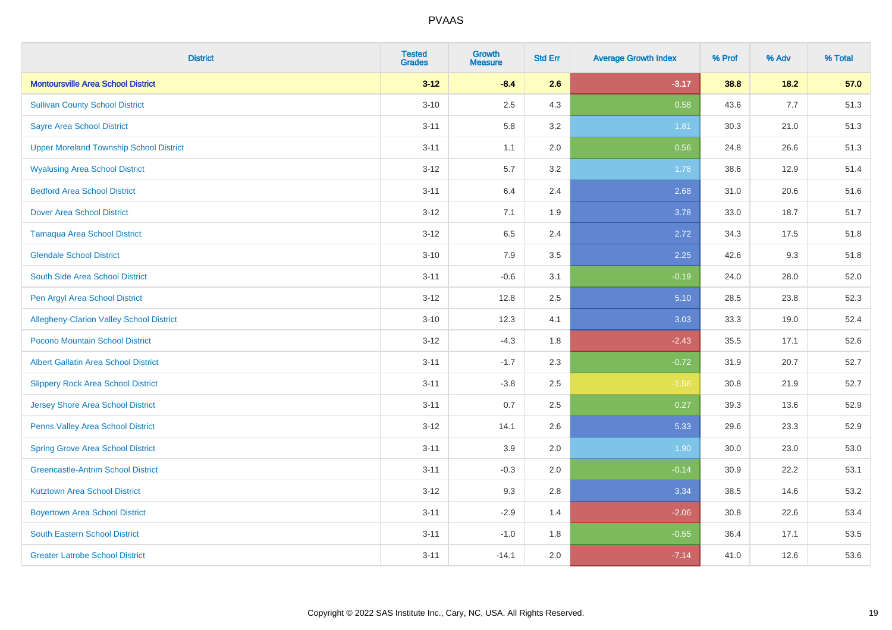| <b>District</b>                                | <b>Tested</b><br><b>Grades</b> | <b>Growth</b><br><b>Measure</b> | <b>Std Err</b> | <b>Average Growth Index</b> | % Prof | % Adv | % Total |
|------------------------------------------------|--------------------------------|---------------------------------|----------------|-----------------------------|--------|-------|---------|
| <b>Montoursville Area School District</b>      | $3 - 12$                       | $-8.4$                          | 2.6            | $-3.17$                     | 38.8   | 18.2  | 57.0    |
| <b>Sullivan County School District</b>         | $3 - 10$                       | 2.5                             | 4.3            | 0.58                        | 43.6   | 7.7   | 51.3    |
| <b>Sayre Area School District</b>              | $3 - 11$                       | 5.8                             | 3.2            | 1.81                        | 30.3   | 21.0  | 51.3    |
| <b>Upper Moreland Township School District</b> | $3 - 11$                       | 1.1                             | 2.0            | 0.56                        | 24.8   | 26.6  | 51.3    |
| <b>Wyalusing Area School District</b>          | $3 - 12$                       | 5.7                             | 3.2            | 1.78                        | 38.6   | 12.9  | 51.4    |
| <b>Bedford Area School District</b>            | $3 - 11$                       | 6.4                             | 2.4            | 2.68                        | 31.0   | 20.6  | 51.6    |
| <b>Dover Area School District</b>              | $3 - 12$                       | 7.1                             | 1.9            | 3.78                        | 33.0   | 18.7  | 51.7    |
| <b>Tamaqua Area School District</b>            | $3 - 12$                       | 6.5                             | 2.4            | 2.72                        | 34.3   | 17.5  | 51.8    |
| <b>Glendale School District</b>                | $3 - 10$                       | 7.9                             | 3.5            | 2.25                        | 42.6   | 9.3   | 51.8    |
| South Side Area School District                | $3 - 11$                       | $-0.6$                          | 3.1            | $-0.19$                     | 24.0   | 28.0  | 52.0    |
| Pen Argyl Area School District                 | $3 - 12$                       | 12.8                            | 2.5            | 5.10                        | 28.5   | 23.8  | 52.3    |
| Allegheny-Clarion Valley School District       | $3 - 10$                       | 12.3                            | 4.1            | 3.03                        | 33.3   | 19.0  | 52.4    |
| Pocono Mountain School District                | $3 - 12$                       | $-4.3$                          | 1.8            | $-2.43$                     | 35.5   | 17.1  | 52.6    |
| <b>Albert Gallatin Area School District</b>    | $3 - 11$                       | $-1.7$                          | 2.3            | $-0.72$                     | 31.9   | 20.7  | 52.7    |
| <b>Slippery Rock Area School District</b>      | $3 - 11$                       | $-3.8$                          | 2.5            | $-1.56$                     | 30.8   | 21.9  | 52.7    |
| <b>Jersey Shore Area School District</b>       | $3 - 11$                       | 0.7                             | 2.5            | 0.27                        | 39.3   | 13.6  | 52.9    |
| Penns Valley Area School District              | $3 - 12$                       | 14.1                            | 2.6            | 5.33                        | 29.6   | 23.3  | 52.9    |
| <b>Spring Grove Area School District</b>       | $3 - 11$                       | 3.9                             | 2.0            | 1.90                        | 30.0   | 23.0  | 53.0    |
| <b>Greencastle-Antrim School District</b>      | $3 - 11$                       | $-0.3$                          | 2.0            | $-0.14$                     | 30.9   | 22.2  | 53.1    |
| <b>Kutztown Area School District</b>           | $3 - 12$                       | 9.3                             | 2.8            | 3.34                        | 38.5   | 14.6  | 53.2    |
| <b>Boyertown Area School District</b>          | $3 - 11$                       | $-2.9$                          | 1.4            | $-2.06$                     | 30.8   | 22.6  | 53.4    |
| South Eastern School District                  | $3 - 11$                       | $-1.0$                          | 1.8            | $-0.55$                     | 36.4   | 17.1  | 53.5    |
| <b>Greater Latrobe School District</b>         | $3 - 11$                       | $-14.1$                         | 2.0            | $-7.14$                     | 41.0   | 12.6  | 53.6    |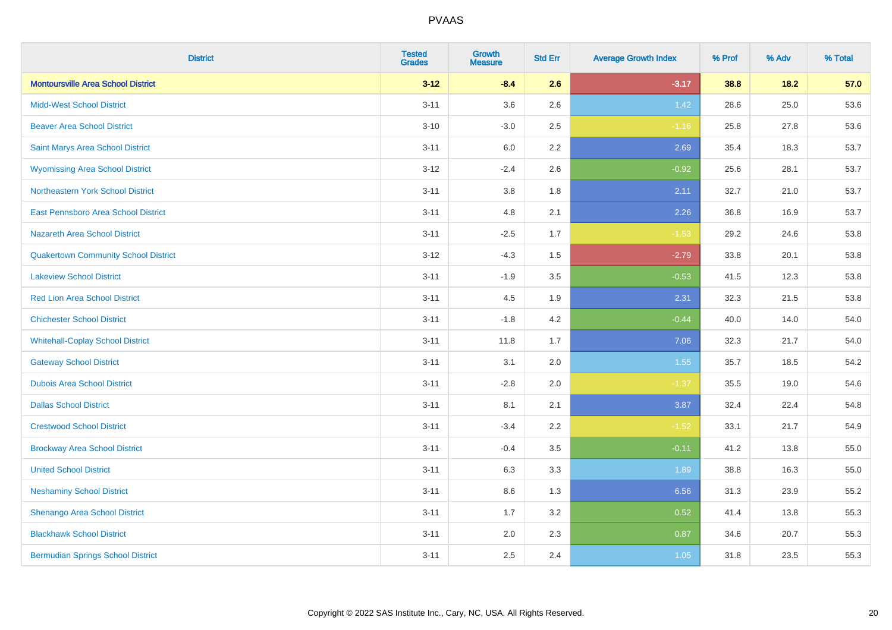| <b>District</b>                             | <b>Tested</b><br><b>Grades</b> | <b>Growth</b><br><b>Measure</b> | <b>Std Err</b> | <b>Average Growth Index</b> | % Prof | % Adv | % Total |
|---------------------------------------------|--------------------------------|---------------------------------|----------------|-----------------------------|--------|-------|---------|
| <b>Montoursville Area School District</b>   | $3 - 12$                       | $-8.4$                          | 2.6            | $-3.17$                     | 38.8   | 18.2  | 57.0    |
| <b>Midd-West School District</b>            | $3 - 11$                       | 3.6                             | 2.6            | 1.42                        | 28.6   | 25.0  | 53.6    |
| <b>Beaver Area School District</b>          | $3 - 10$                       | $-3.0$                          | 2.5            | $-1.16$                     | 25.8   | 27.8  | 53.6    |
| Saint Marys Area School District            | $3 - 11$                       | $6.0\,$                         | 2.2            | 2.69                        | 35.4   | 18.3  | 53.7    |
| <b>Wyomissing Area School District</b>      | $3 - 12$                       | $-2.4$                          | 2.6            | $-0.92$                     | 25.6   | 28.1  | 53.7    |
| Northeastern York School District           | $3 - 11$                       | $3.8\,$                         | 1.8            | 2.11                        | 32.7   | 21.0  | 53.7    |
| East Pennsboro Area School District         | $3 - 11$                       | 4.8                             | 2.1            | 2.26                        | 36.8   | 16.9  | 53.7    |
| <b>Nazareth Area School District</b>        | $3 - 11$                       | $-2.5$                          | 1.7            | $-1.53$                     | 29.2   | 24.6  | 53.8    |
| <b>Quakertown Community School District</b> | $3 - 12$                       | $-4.3$                          | 1.5            | $-2.79$                     | 33.8   | 20.1  | 53.8    |
| <b>Lakeview School District</b>             | $3 - 11$                       | $-1.9$                          | 3.5            | $-0.53$                     | 41.5   | 12.3  | 53.8    |
| <b>Red Lion Area School District</b>        | $3 - 11$                       | 4.5                             | 1.9            | 2.31                        | 32.3   | 21.5  | 53.8    |
| <b>Chichester School District</b>           | $3 - 11$                       | $-1.8$                          | 4.2            | $-0.44$                     | 40.0   | 14.0  | 54.0    |
| <b>Whitehall-Coplay School District</b>     | $3 - 11$                       | 11.8                            | 1.7            | 7.06                        | 32.3   | 21.7  | 54.0    |
| <b>Gateway School District</b>              | $3 - 11$                       | 3.1                             | 2.0            | 1.55                        | 35.7   | 18.5  | 54.2    |
| <b>Dubois Area School District</b>          | $3 - 11$                       | $-2.8$                          | 2.0            | $-1.37$                     | 35.5   | 19.0  | 54.6    |
| <b>Dallas School District</b>               | $3 - 11$                       | 8.1                             | 2.1            | 3.87                        | 32.4   | 22.4  | 54.8    |
| <b>Crestwood School District</b>            | $3 - 11$                       | $-3.4$                          | 2.2            | $-1.52$                     | 33.1   | 21.7  | 54.9    |
| <b>Brockway Area School District</b>        | $3 - 11$                       | $-0.4$                          | 3.5            | $-0.11$                     | 41.2   | 13.8  | 55.0    |
| <b>United School District</b>               | $3 - 11$                       | 6.3                             | 3.3            | 1.89                        | 38.8   | 16.3  | 55.0    |
| <b>Neshaminy School District</b>            | $3 - 11$                       | 8.6                             | 1.3            | 6.56                        | 31.3   | 23.9  | 55.2    |
| Shenango Area School District               | $3 - 11$                       | 1.7                             | 3.2            | 0.52                        | 41.4   | 13.8  | 55.3    |
| <b>Blackhawk School District</b>            | $3 - 11$                       | 2.0                             | 2.3            | 0.87                        | 34.6   | 20.7  | 55.3    |
| <b>Bermudian Springs School District</b>    | $3 - 11$                       | 2.5                             | 2.4            | 1.05                        | 31.8   | 23.5  | 55.3    |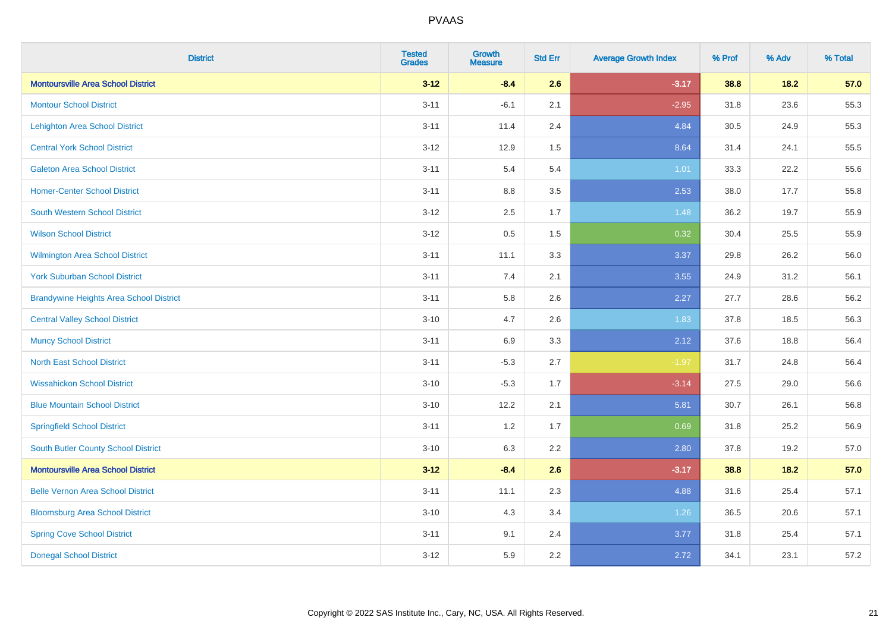| <b>District</b>                                | <b>Tested</b><br><b>Grades</b> | <b>Growth</b><br><b>Measure</b> | <b>Std Err</b> | <b>Average Growth Index</b> | % Prof | % Adv | % Total |
|------------------------------------------------|--------------------------------|---------------------------------|----------------|-----------------------------|--------|-------|---------|
| <b>Montoursville Area School District</b>      | $3 - 12$                       | $-8.4$                          | 2.6            | $-3.17$                     | 38.8   | 18.2  | 57.0    |
| <b>Montour School District</b>                 | $3 - 11$                       | $-6.1$                          | 2.1            | $-2.95$                     | 31.8   | 23.6  | 55.3    |
| <b>Lehighton Area School District</b>          | $3 - 11$                       | 11.4                            | 2.4            | 4.84                        | 30.5   | 24.9  | 55.3    |
| <b>Central York School District</b>            | $3 - 12$                       | 12.9                            | 1.5            | 8.64                        | 31.4   | 24.1  | 55.5    |
| <b>Galeton Area School District</b>            | $3 - 11$                       | 5.4                             | 5.4            | 1.01                        | 33.3   | 22.2  | 55.6    |
| <b>Homer-Center School District</b>            | $3 - 11$                       | 8.8                             | 3.5            | 2.53                        | 38.0   | 17.7  | 55.8    |
| <b>South Western School District</b>           | $3 - 12$                       | 2.5                             | 1.7            | 1.48                        | 36.2   | 19.7  | 55.9    |
| <b>Wilson School District</b>                  | $3 - 12$                       | 0.5                             | 1.5            | 0.32                        | 30.4   | 25.5  | 55.9    |
| <b>Wilmington Area School District</b>         | $3 - 11$                       | 11.1                            | 3.3            | 3.37                        | 29.8   | 26.2  | 56.0    |
| <b>York Suburban School District</b>           | $3 - 11$                       | 7.4                             | 2.1            | 3.55                        | 24.9   | 31.2  | 56.1    |
| <b>Brandywine Heights Area School District</b> | $3 - 11$                       | 5.8                             | 2.6            | 2.27                        | 27.7   | 28.6  | 56.2    |
| <b>Central Valley School District</b>          | $3 - 10$                       | 4.7                             | 2.6            | 1.83                        | 37.8   | 18.5  | 56.3    |
| <b>Muncy School District</b>                   | $3 - 11$                       | 6.9                             | 3.3            | 2.12                        | 37.6   | 18.8  | 56.4    |
| <b>North East School District</b>              | $3 - 11$                       | $-5.3$                          | 2.7            | $-1.97$                     | 31.7   | 24.8  | 56.4    |
| <b>Wissahickon School District</b>             | $3 - 10$                       | $-5.3$                          | 1.7            | $-3.14$                     | 27.5   | 29.0  | 56.6    |
| <b>Blue Mountain School District</b>           | $3 - 10$                       | 12.2                            | 2.1            | 5.81                        | 30.7   | 26.1  | 56.8    |
| <b>Springfield School District</b>             | $3 - 11$                       | 1.2                             | 1.7            | 0.69                        | 31.8   | 25.2  | 56.9    |
| <b>South Butler County School District</b>     | $3 - 10$                       | 6.3                             | 2.2            | 2.80                        | 37.8   | 19.2  | 57.0    |
| <b>Montoursville Area School District</b>      | $3 - 12$                       | $-8.4$                          | 2.6            | $-3.17$                     | 38.8   | 18.2  | 57.0    |
| <b>Belle Vernon Area School District</b>       | $3 - 11$                       | 11.1                            | 2.3            | 4.88                        | 31.6   | 25.4  | 57.1    |
| <b>Bloomsburg Area School District</b>         | $3 - 10$                       | 4.3                             | 3.4            | 1.26                        | 36.5   | 20.6  | 57.1    |
| <b>Spring Cove School District</b>             | $3 - 11$                       | 9.1                             | 2.4            | 3.77                        | 31.8   | 25.4  | 57.1    |
| <b>Donegal School District</b>                 | $3 - 12$                       | 5.9                             | 2.2            | 2.72                        | 34.1   | 23.1  | 57.2    |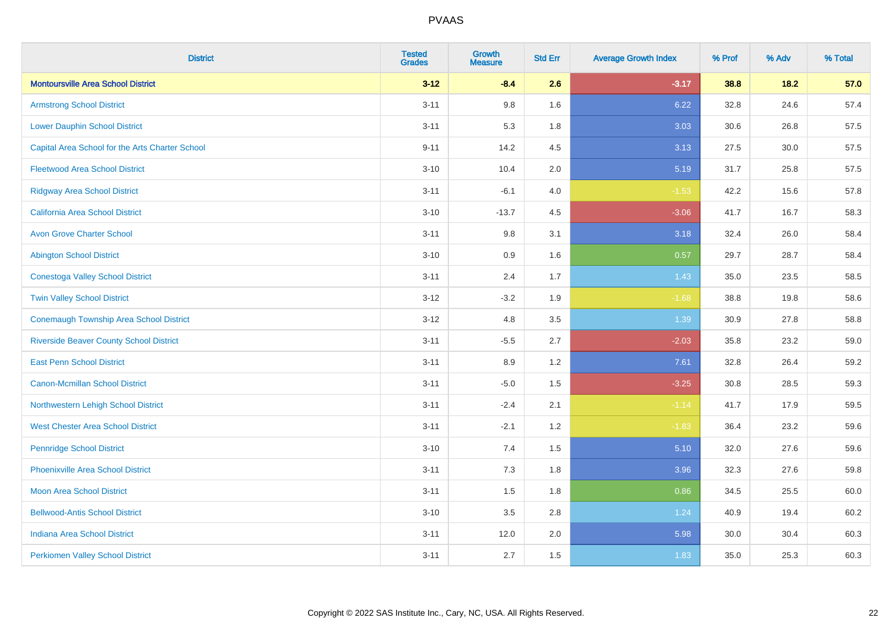| <b>District</b>                                 | <b>Tested</b><br><b>Grades</b> | <b>Growth</b><br><b>Measure</b> | <b>Std Err</b> | <b>Average Growth Index</b> | % Prof | % Adv | % Total |
|-------------------------------------------------|--------------------------------|---------------------------------|----------------|-----------------------------|--------|-------|---------|
| <b>Montoursville Area School District</b>       | $3 - 12$                       | $-8.4$                          | 2.6            | $-3.17$                     | 38.8   | 18.2  | 57.0    |
| <b>Armstrong School District</b>                | $3 - 11$                       | $9.8\,$                         | 1.6            | 6.22                        | 32.8   | 24.6  | 57.4    |
| <b>Lower Dauphin School District</b>            | $3 - 11$                       | 5.3                             | 1.8            | 3.03                        | 30.6   | 26.8  | 57.5    |
| Capital Area School for the Arts Charter School | $9 - 11$                       | 14.2                            | 4.5            | 3.13                        | 27.5   | 30.0  | 57.5    |
| <b>Fleetwood Area School District</b>           | $3 - 10$                       | 10.4                            | 2.0            | 5.19                        | 31.7   | 25.8  | 57.5    |
| <b>Ridgway Area School District</b>             | $3 - 11$                       | $-6.1$                          | 4.0            | $-1.53$                     | 42.2   | 15.6  | 57.8    |
| <b>California Area School District</b>          | $3 - 10$                       | $-13.7$                         | 4.5            | $-3.06$                     | 41.7   | 16.7  | 58.3    |
| <b>Avon Grove Charter School</b>                | $3 - 11$                       | $9.8\,$                         | 3.1            | 3.18                        | 32.4   | 26.0  | 58.4    |
| <b>Abington School District</b>                 | $3 - 10$                       | 0.9                             | 1.6            | 0.57                        | 29.7   | 28.7  | 58.4    |
| <b>Conestoga Valley School District</b>         | $3 - 11$                       | 2.4                             | 1.7            | 1.43                        | 35.0   | 23.5  | 58.5    |
| <b>Twin Valley School District</b>              | $3 - 12$                       | $-3.2$                          | 1.9            | $-1.68$                     | 38.8   | 19.8  | 58.6    |
| <b>Conemaugh Township Area School District</b>  | $3-12$                         | 4.8                             | 3.5            | 1.39                        | 30.9   | 27.8  | 58.8    |
| <b>Riverside Beaver County School District</b>  | $3 - 11$                       | $-5.5$                          | 2.7            | $-2.03$                     | 35.8   | 23.2  | 59.0    |
| <b>East Penn School District</b>                | $3 - 11$                       | 8.9                             | 1.2            | 7.61                        | 32.8   | 26.4  | 59.2    |
| <b>Canon-Mcmillan School District</b>           | $3 - 11$                       | $-5.0$                          | 1.5            | $-3.25$                     | 30.8   | 28.5  | 59.3    |
| Northwestern Lehigh School District             | $3 - 11$                       | $-2.4$                          | 2.1            | $-1.14$                     | 41.7   | 17.9  | 59.5    |
| <b>West Chester Area School District</b>        | $3 - 11$                       | $-2.1$                          | 1.2            | $-1.83$                     | 36.4   | 23.2  | 59.6    |
| <b>Pennridge School District</b>                | $3 - 10$                       | 7.4                             | 1.5            | 5.10                        | 32.0   | 27.6  | 59.6    |
| <b>Phoenixville Area School District</b>        | $3 - 11$                       | 7.3                             | 1.8            | 3.96                        | 32.3   | 27.6  | 59.8    |
| <b>Moon Area School District</b>                | $3 - 11$                       | 1.5                             | 1.8            | 0.86                        | 34.5   | 25.5  | 60.0    |
| <b>Bellwood-Antis School District</b>           | $3 - 10$                       | 3.5                             | 2.8            | 1.24                        | 40.9   | 19.4  | 60.2    |
| <b>Indiana Area School District</b>             | $3 - 11$                       | 12.0                            | 2.0            | 5.98                        | 30.0   | 30.4  | 60.3    |
| <b>Perkiomen Valley School District</b>         | $3 - 11$                       | 2.7                             | 1.5            | 1.83                        | 35.0   | 25.3  | 60.3    |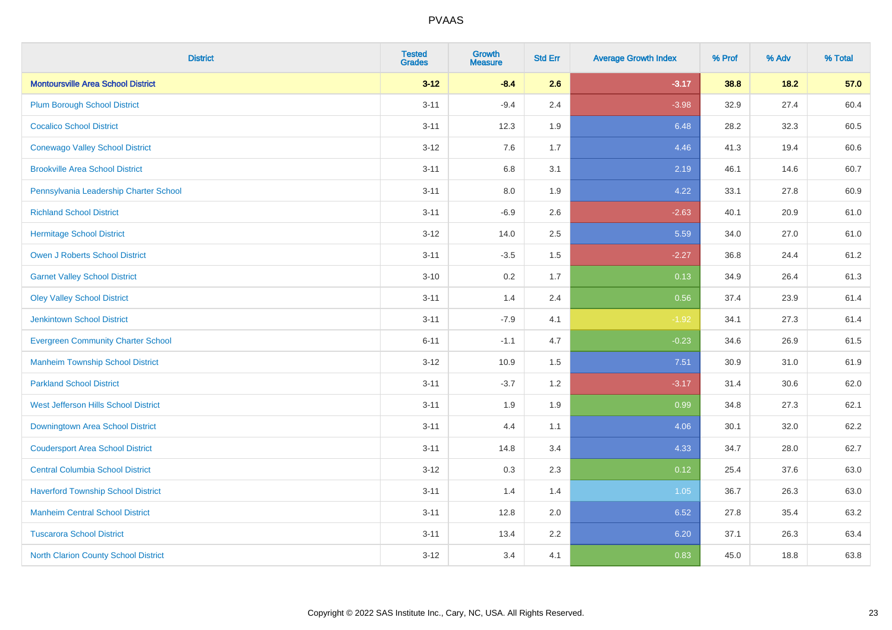| <b>District</b>                           | <b>Tested</b><br><b>Grades</b> | <b>Growth</b><br><b>Measure</b> | <b>Std Err</b> | <b>Average Growth Index</b> | % Prof | % Adv | % Total |
|-------------------------------------------|--------------------------------|---------------------------------|----------------|-----------------------------|--------|-------|---------|
| <b>Montoursville Area School District</b> | $3 - 12$                       | $-8.4$                          | 2.6            | $-3.17$                     | 38.8   | 18.2  | 57.0    |
| <b>Plum Borough School District</b>       | $3 - 11$                       | $-9.4$                          | 2.4            | $-3.98$                     | 32.9   | 27.4  | 60.4    |
| <b>Cocalico School District</b>           | $3 - 11$                       | 12.3                            | 1.9            | 6.48                        | 28.2   | 32.3  | 60.5    |
| <b>Conewago Valley School District</b>    | $3 - 12$                       | 7.6                             | 1.7            | 4.46                        | 41.3   | 19.4  | 60.6    |
| <b>Brookville Area School District</b>    | $3 - 11$                       | $6.8\,$                         | 3.1            | 2.19                        | 46.1   | 14.6  | 60.7    |
| Pennsylvania Leadership Charter School    | $3 - 11$                       | 8.0                             | 1.9            | 4.22                        | 33.1   | 27.8  | 60.9    |
| <b>Richland School District</b>           | $3 - 11$                       | $-6.9$                          | 2.6            | $-2.63$                     | 40.1   | 20.9  | 61.0    |
| <b>Hermitage School District</b>          | $3 - 12$                       | 14.0                            | 2.5            | 5.59                        | 34.0   | 27.0  | 61.0    |
| <b>Owen J Roberts School District</b>     | $3 - 11$                       | $-3.5$                          | 1.5            | $-2.27$                     | 36.8   | 24.4  | 61.2    |
| <b>Garnet Valley School District</b>      | $3 - 10$                       | 0.2                             | 1.7            | 0.13                        | 34.9   | 26.4  | 61.3    |
| <b>Oley Valley School District</b>        | $3 - 11$                       | 1.4                             | 2.4            | 0.56                        | 37.4   | 23.9  | 61.4    |
| <b>Jenkintown School District</b>         | $3 - 11$                       | $-7.9$                          | 4.1            | $-1.92$                     | 34.1   | 27.3  | 61.4    |
| <b>Evergreen Community Charter School</b> | $6 - 11$                       | $-1.1$                          | 4.7            | $-0.23$                     | 34.6   | 26.9  | 61.5    |
| <b>Manheim Township School District</b>   | $3 - 12$                       | 10.9                            | 1.5            | 7.51                        | 30.9   | 31.0  | 61.9    |
| <b>Parkland School District</b>           | $3 - 11$                       | $-3.7$                          | 1.2            | $-3.17$                     | 31.4   | 30.6  | 62.0    |
| West Jefferson Hills School District      | $3 - 11$                       | 1.9                             | 1.9            | 0.99                        | 34.8   | 27.3  | 62.1    |
| Downingtown Area School District          | $3 - 11$                       | 4.4                             | 1.1            | 4.06                        | 30.1   | 32.0  | 62.2    |
| <b>Coudersport Area School District</b>   | $3 - 11$                       | 14.8                            | 3.4            | 4.33                        | 34.7   | 28.0  | 62.7    |
| <b>Central Columbia School District</b>   | $3 - 12$                       | 0.3                             | 2.3            | 0.12                        | 25.4   | 37.6  | 63.0    |
| <b>Haverford Township School District</b> | $3 - 11$                       | 1.4                             | 1.4            | 1.05                        | 36.7   | 26.3  | 63.0    |
| <b>Manheim Central School District</b>    | $3 - 11$                       | 12.8                            | 2.0            | 6.52                        | 27.8   | 35.4  | 63.2    |
| <b>Tuscarora School District</b>          | $3 - 11$                       | 13.4                            | 2.2            | 6.20                        | 37.1   | 26.3  | 63.4    |
| North Clarion County School District      | $3 - 12$                       | 3.4                             | 4.1            | 0.83                        | 45.0   | 18.8  | 63.8    |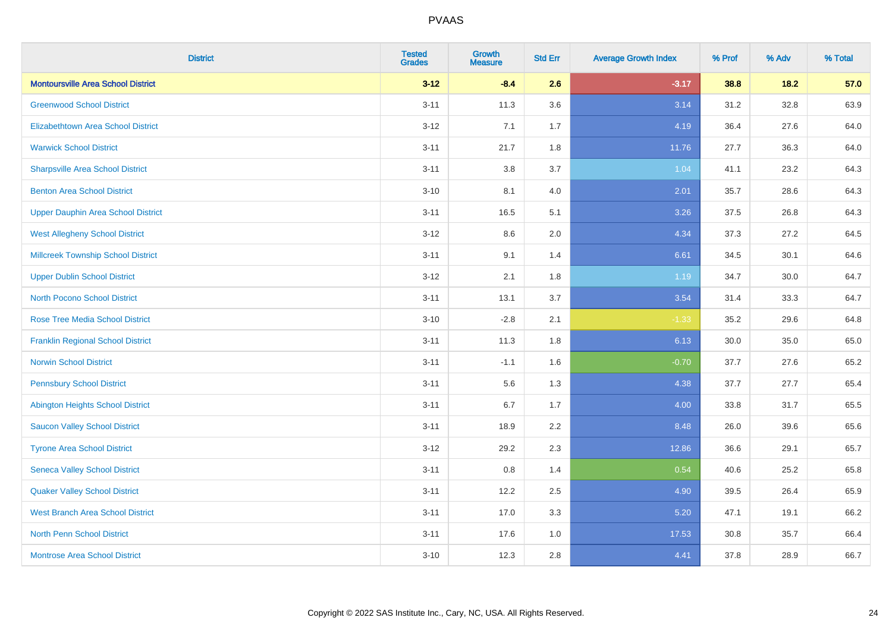| <b>District</b>                           | <b>Tested</b><br><b>Grades</b> | <b>Growth</b><br><b>Measure</b> | <b>Std Err</b> | <b>Average Growth Index</b> | % Prof | % Adv  | % Total |
|-------------------------------------------|--------------------------------|---------------------------------|----------------|-----------------------------|--------|--------|---------|
| <b>Montoursville Area School District</b> | $3 - 12$                       | $-8.4$                          | 2.6            | $-3.17$                     | 38.8   | $18.2$ | 57.0    |
| <b>Greenwood School District</b>          | $3 - 11$                       | 11.3                            | 3.6            | 3.14                        | 31.2   | 32.8   | 63.9    |
| <b>Elizabethtown Area School District</b> | $3 - 12$                       | 7.1                             | 1.7            | 4.19                        | 36.4   | 27.6   | 64.0    |
| <b>Warwick School District</b>            | $3 - 11$                       | 21.7                            | 1.8            | 11.76                       | 27.7   | 36.3   | 64.0    |
| <b>Sharpsville Area School District</b>   | $3 - 11$                       | 3.8                             | 3.7            | 1.04                        | 41.1   | 23.2   | 64.3    |
| <b>Benton Area School District</b>        | $3 - 10$                       | 8.1                             | 4.0            | 2.01                        | 35.7   | 28.6   | 64.3    |
| <b>Upper Dauphin Area School District</b> | $3 - 11$                       | 16.5                            | 5.1            | 3.26                        | 37.5   | 26.8   | 64.3    |
| <b>West Allegheny School District</b>     | $3 - 12$                       | $8.6\,$                         | 2.0            | 4.34                        | 37.3   | 27.2   | 64.5    |
| <b>Millcreek Township School District</b> | $3 - 11$                       | 9.1                             | 1.4            | 6.61                        | 34.5   | 30.1   | 64.6    |
| <b>Upper Dublin School District</b>       | $3 - 12$                       | 2.1                             | 1.8            | 1.19                        | 34.7   | 30.0   | 64.7    |
| <b>North Pocono School District</b>       | $3 - 11$                       | 13.1                            | 3.7            | 3.54                        | 31.4   | 33.3   | 64.7    |
| <b>Rose Tree Media School District</b>    | $3 - 10$                       | $-2.8$                          | 2.1            | $-1.33$                     | 35.2   | 29.6   | 64.8    |
| <b>Franklin Regional School District</b>  | $3 - 11$                       | 11.3                            | 1.8            | 6.13                        | 30.0   | 35.0   | 65.0    |
| <b>Norwin School District</b>             | $3 - 11$                       | $-1.1$                          | 1.6            | $-0.70$                     | 37.7   | 27.6   | 65.2    |
| <b>Pennsbury School District</b>          | $3 - 11$                       | 5.6                             | 1.3            | 4.38                        | 37.7   | 27.7   | 65.4    |
| <b>Abington Heights School District</b>   | $3 - 11$                       | 6.7                             | 1.7            | 4.00                        | 33.8   | 31.7   | 65.5    |
| <b>Saucon Valley School District</b>      | $3 - 11$                       | 18.9                            | 2.2            | 8.48                        | 26.0   | 39.6   | 65.6    |
| <b>Tyrone Area School District</b>        | $3 - 12$                       | 29.2                            | 2.3            | 12.86                       | 36.6   | 29.1   | 65.7    |
| <b>Seneca Valley School District</b>      | $3 - 11$                       | $0.8\,$                         | 1.4            | 0.54                        | 40.6   | 25.2   | 65.8    |
| <b>Quaker Valley School District</b>      | $3 - 11$                       | 12.2                            | 2.5            | 4.90                        | 39.5   | 26.4   | 65.9    |
| <b>West Branch Area School District</b>   | $3 - 11$                       | 17.0                            | 3.3            | 5.20                        | 47.1   | 19.1   | 66.2    |
| <b>North Penn School District</b>         | $3 - 11$                       | 17.6                            | 1.0            | 17.53                       | 30.8   | 35.7   | 66.4    |
| <b>Montrose Area School District</b>      | $3 - 10$                       | 12.3                            | 2.8            | 4.41                        | 37.8   | 28.9   | 66.7    |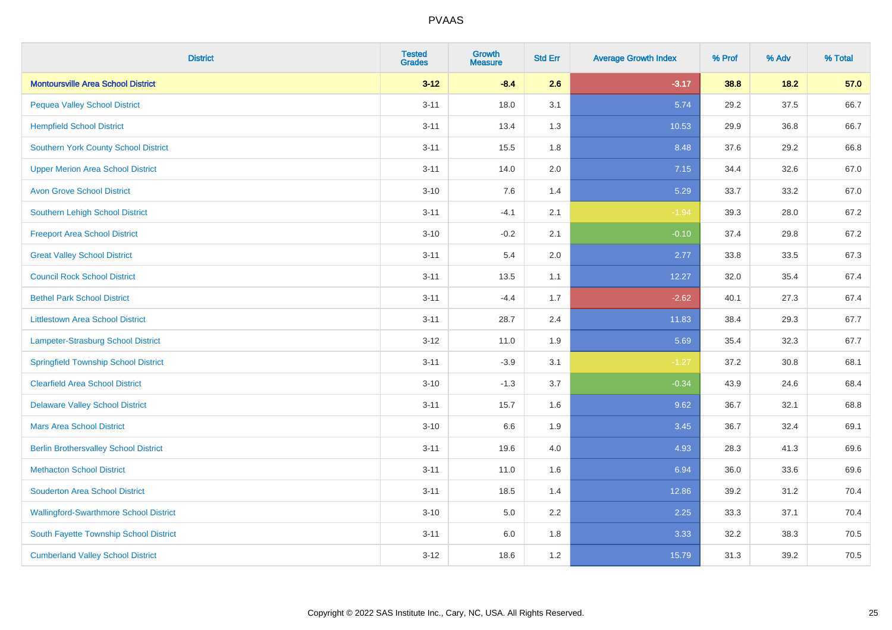| <b>District</b>                               | <b>Tested</b><br><b>Grades</b> | Growth<br><b>Measure</b> | <b>Std Err</b> | <b>Average Growth Index</b> | % Prof | % Adv  | % Total |
|-----------------------------------------------|--------------------------------|--------------------------|----------------|-----------------------------|--------|--------|---------|
| <b>Montoursville Area School District</b>     | $3 - 12$                       | $-8.4$                   | 2.6            | $-3.17$                     | 38.8   | $18.2$ | 57.0    |
| <b>Pequea Valley School District</b>          | $3 - 11$                       | 18.0                     | 3.1            | 5.74                        | 29.2   | 37.5   | 66.7    |
| <b>Hempfield School District</b>              | $3 - 11$                       | 13.4                     | 1.3            | 10.53                       | 29.9   | 36.8   | 66.7    |
| <b>Southern York County School District</b>   | $3 - 11$                       | 15.5                     | 1.8            | 8.48                        | 37.6   | 29.2   | 66.8    |
| <b>Upper Merion Area School District</b>      | $3 - 11$                       | 14.0                     | 2.0            | 7.15                        | 34.4   | 32.6   | 67.0    |
| <b>Avon Grove School District</b>             | $3 - 10$                       | 7.6                      | 1.4            | 5.29                        | 33.7   | 33.2   | 67.0    |
| <b>Southern Lehigh School District</b>        | $3 - 11$                       | $-4.1$                   | 2.1            | $-1.94$                     | 39.3   | 28.0   | 67.2    |
| <b>Freeport Area School District</b>          | $3 - 10$                       | $-0.2$                   | 2.1            | $-0.10$                     | 37.4   | 29.8   | 67.2    |
| <b>Great Valley School District</b>           | $3 - 11$                       | 5.4                      | 2.0            | 2.77                        | 33.8   | 33.5   | 67.3    |
| <b>Council Rock School District</b>           | $3 - 11$                       | 13.5                     | 1.1            | 12.27                       | 32.0   | 35.4   | 67.4    |
| <b>Bethel Park School District</b>            | $3 - 11$                       | $-4.4$                   | 1.7            | $-2.62$                     | 40.1   | 27.3   | 67.4    |
| <b>Littlestown Area School District</b>       | $3 - 11$                       | 28.7                     | 2.4            | 11.83                       | 38.4   | 29.3   | 67.7    |
| Lampeter-Strasburg School District            | $3 - 12$                       | 11.0                     | 1.9            | 5.69                        | 35.4   | 32.3   | 67.7    |
| <b>Springfield Township School District</b>   | $3 - 11$                       | $-3.9$                   | 3.1            | $-1.27$                     | 37.2   | 30.8   | 68.1    |
| <b>Clearfield Area School District</b>        | $3 - 10$                       | $-1.3$                   | 3.7            | $-0.34$                     | 43.9   | 24.6   | 68.4    |
| <b>Delaware Valley School District</b>        | $3 - 11$                       | 15.7                     | 1.6            | 9.62                        | 36.7   | 32.1   | 68.8    |
| <b>Mars Area School District</b>              | $3 - 10$                       | 6.6                      | 1.9            | 3.45                        | 36.7   | 32.4   | 69.1    |
| <b>Berlin Brothersvalley School District</b>  | $3 - 11$                       | 19.6                     | 4.0            | 4.93                        | 28.3   | 41.3   | 69.6    |
| <b>Methacton School District</b>              | $3 - 11$                       | 11.0                     | 1.6            | 6.94                        | 36.0   | 33.6   | 69.6    |
| <b>Souderton Area School District</b>         | $3 - 11$                       | 18.5                     | 1.4            | 12.86                       | 39.2   | 31.2   | 70.4    |
| <b>Wallingford-Swarthmore School District</b> | $3 - 10$                       | 5.0                      | 2.2            | 2.25                        | 33.3   | 37.1   | 70.4    |
| South Fayette Township School District        | $3 - 11$                       | 6.0                      | 1.8            | 3.33                        | 32.2   | 38.3   | 70.5    |
| <b>Cumberland Valley School District</b>      | $3 - 12$                       | 18.6                     | 1.2            | 15.79                       | 31.3   | 39.2   | 70.5    |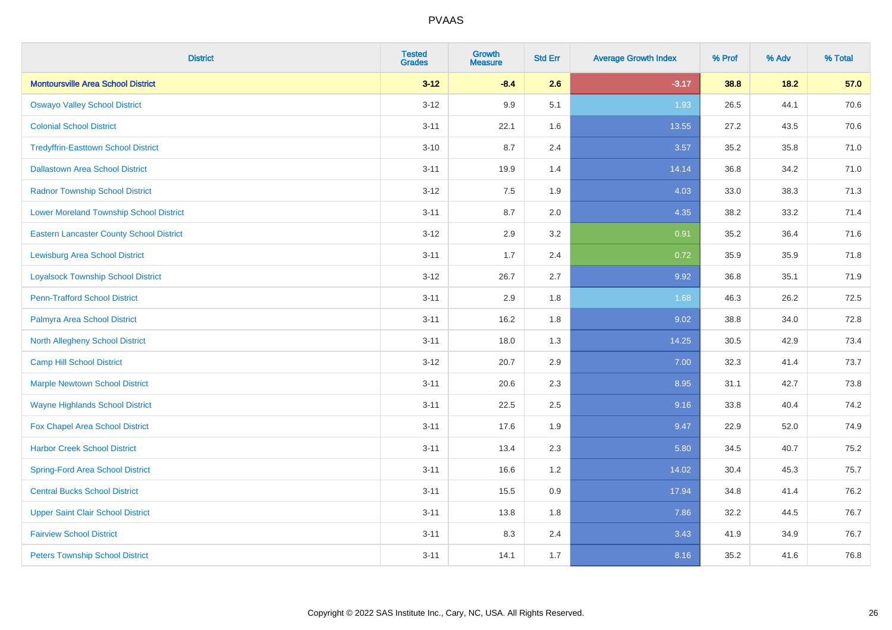| <b>District</b>                                 | <b>Tested</b><br><b>Grades</b> | <b>Growth</b><br><b>Measure</b> | <b>Std Err</b> | <b>Average Growth Index</b> | % Prof | % Adv | % Total |
|-------------------------------------------------|--------------------------------|---------------------------------|----------------|-----------------------------|--------|-------|---------|
| <b>Montoursville Area School District</b>       | $3 - 12$                       | $-8.4$                          | 2.6            | $-3.17$                     | 38.8   | 18.2  | 57.0    |
| <b>Oswayo Valley School District</b>            | $3 - 12$                       | 9.9                             | 5.1            | 1.93                        | 26.5   | 44.1  | 70.6    |
| <b>Colonial School District</b>                 | $3 - 11$                       | 22.1                            | 1.6            | 13.55                       | 27.2   | 43.5  | 70.6    |
| <b>Tredyffrin-Easttown School District</b>      | $3 - 10$                       | 8.7                             | 2.4            | 3.57                        | 35.2   | 35.8  | 71.0    |
| <b>Dallastown Area School District</b>          | $3 - 11$                       | 19.9                            | 1.4            | 14.14                       | 36.8   | 34.2  | 71.0    |
| <b>Radnor Township School District</b>          | $3 - 12$                       | 7.5                             | 1.9            | 4.03                        | 33.0   | 38.3  | 71.3    |
| <b>Lower Moreland Township School District</b>  | $3 - 11$                       | 8.7                             | 2.0            | 4.35                        | 38.2   | 33.2  | 71.4    |
| <b>Eastern Lancaster County School District</b> | $3 - 12$                       | 2.9                             | 3.2            | 0.91                        | 35.2   | 36.4  | 71.6    |
| <b>Lewisburg Area School District</b>           | $3 - 11$                       | 1.7                             | 2.4            | 0.72                        | 35.9   | 35.9  | 71.8    |
| <b>Loyalsock Township School District</b>       | $3-12$                         | 26.7                            | 2.7            | 9.92                        | 36.8   | 35.1  | 71.9    |
| <b>Penn-Trafford School District</b>            | $3 - 11$                       | 2.9                             | 1.8            | 1.68                        | 46.3   | 26.2  | 72.5    |
| Palmyra Area School District                    | $3 - 11$                       | 16.2                            | 1.8            | 9.02                        | 38.8   | 34.0  | 72.8    |
| North Allegheny School District                 | $3 - 11$                       | 18.0                            | 1.3            | 14.25                       | 30.5   | 42.9  | 73.4    |
| <b>Camp Hill School District</b>                | $3 - 12$                       | 20.7                            | 2.9            | 7.00                        | 32.3   | 41.4  | 73.7    |
| <b>Marple Newtown School District</b>           | $3 - 11$                       | 20.6                            | 2.3            | 8.95                        | 31.1   | 42.7  | 73.8    |
| <b>Wayne Highlands School District</b>          | $3 - 11$                       | 22.5                            | 2.5            | 9.16                        | 33.8   | 40.4  | 74.2    |
| Fox Chapel Area School District                 | $3 - 11$                       | 17.6                            | 1.9            | 9.47                        | 22.9   | 52.0  | 74.9    |
| <b>Harbor Creek School District</b>             | $3 - 11$                       | 13.4                            | 2.3            | 5.80                        | 34.5   | 40.7  | 75.2    |
| <b>Spring-Ford Area School District</b>         | $3 - 11$                       | 16.6                            | 1.2            | 14.02                       | 30.4   | 45.3  | 75.7    |
| <b>Central Bucks School District</b>            | $3 - 11$                       | 15.5                            | 0.9            | 17.94                       | 34.8   | 41.4  | 76.2    |
| <b>Upper Saint Clair School District</b>        | $3 - 11$                       | 13.8                            | 1.8            | 7.86                        | 32.2   | 44.5  | 76.7    |
| <b>Fairview School District</b>                 | $3 - 11$                       | 8.3                             | 2.4            | 3.43                        | 41.9   | 34.9  | 76.7    |
| <b>Peters Township School District</b>          | $3 - 11$                       | 14.1                            | 1.7            | 8.16                        | 35.2   | 41.6  | 76.8    |